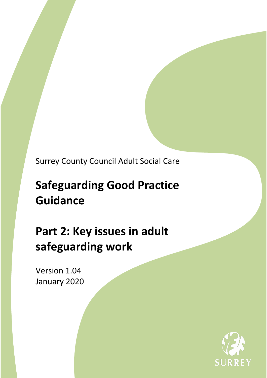Surrey County Council Adult Social Care

# **Safeguarding Good Practice Guidance**

# **Part 2: Key issues in adult safeguarding work**

Version 1.04 January 2020

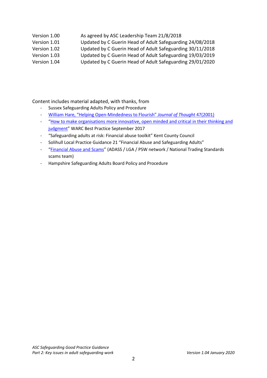### Version 1.00 As agreed by ASC Leadership Team 21/8/2018

- Version 1.01 Updated by C Guerin Head of Adult Safeguarding 24/08/2018
- Version 1.02 Updated by C Guerin Head of Adult Safeguarding 30/11/2018
- Version 1.03 Updated by C Guerin Head of Adult Safeguarding 19/03/2019
- Version 1.04 Updated by C Guerin Head of Adult Safeguarding 29/01/2020

#### Content includes material adapted, with thanks, from

- Sussex Safeguarding Adults Policy and Procedure
- William [Hare, "Helping Open-Mindedness to Flourish"](http://journalofthought.com/wp-content/uploads/2015/04/07hare.pdf) *Journal of Thought* 47(2001)
- "How to make organisations more [innovative, open minded and critical in their thinking and](https://www.thebearchitects.com/assets/uploads/Warc_BP_How_to_make_organisations_more_innovativ.pdf)  [judgment"](https://www.thebearchitects.com/assets/uploads/Warc_BP_How_to_make_organisations_more_innovativ.pdf) WARC Best Practice September 2017
- "Safeguarding adults at risk: Financial abuse toolkit" Kent County Council
- Solihull Local Practice Guidance 21 "Financial Abuse and Safeguarding Adults"
- ["Financial Abuse and Scams"](https://www.adass.org.uk/media/5799/top-tips-financial-abuse-and-scams.pdf) (ADASS / LGA / PSW network / National Trading Standards scams team)
- Hampshire Safeguarding Adults Board Policy and Procedure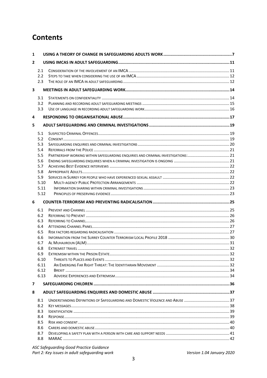# **Contents**

| 1            |                   |                                                                                   |  |  |  |  |
|--------------|-------------------|-----------------------------------------------------------------------------------|--|--|--|--|
| $\mathbf{2}$ |                   |                                                                                   |  |  |  |  |
|              | 2.1<br>2.2<br>2.3 |                                                                                   |  |  |  |  |
| 3            |                   |                                                                                   |  |  |  |  |
|              | 3.1               |                                                                                   |  |  |  |  |
|              | 3.2<br>3.3        |                                                                                   |  |  |  |  |
| 4            |                   |                                                                                   |  |  |  |  |
| 5.           |                   |                                                                                   |  |  |  |  |
|              | 5.1               |                                                                                   |  |  |  |  |
|              | 5.2               |                                                                                   |  |  |  |  |
|              | 5.3               |                                                                                   |  |  |  |  |
|              | 5.4               |                                                                                   |  |  |  |  |
|              | 5.5               | PARTNERSHIP WORKING WITHIN SAFEGUARDING ENQUIRIES AND CRIMINAL INVESTIGATIONS: 21 |  |  |  |  |
|              | 5.6               |                                                                                   |  |  |  |  |
|              | 5.7               |                                                                                   |  |  |  |  |
|              | 5.8               |                                                                                   |  |  |  |  |
|              | 5.9               |                                                                                   |  |  |  |  |
|              | 5.10              |                                                                                   |  |  |  |  |
|              | 5.11              |                                                                                   |  |  |  |  |
|              | 5.12              |                                                                                   |  |  |  |  |
|              |                   |                                                                                   |  |  |  |  |
| 6            |                   |                                                                                   |  |  |  |  |
|              | 6.1               |                                                                                   |  |  |  |  |
|              | 6.2               |                                                                                   |  |  |  |  |
|              | 6.3               |                                                                                   |  |  |  |  |
|              | 6.4               |                                                                                   |  |  |  |  |
|              | 6.5               |                                                                                   |  |  |  |  |
|              | 6.6               |                                                                                   |  |  |  |  |
|              | 6.7               |                                                                                   |  |  |  |  |
|              | 6.8               |                                                                                   |  |  |  |  |
|              | 6.9               |                                                                                   |  |  |  |  |
|              | 6.10              |                                                                                   |  |  |  |  |
|              | 6.11              |                                                                                   |  |  |  |  |
|              | 6.12              |                                                                                   |  |  |  |  |
|              | 6.13              |                                                                                   |  |  |  |  |
| 7            |                   |                                                                                   |  |  |  |  |
| 8            |                   |                                                                                   |  |  |  |  |
|              | 8.1               |                                                                                   |  |  |  |  |
|              | 8.2               |                                                                                   |  |  |  |  |
|              | 8.3               |                                                                                   |  |  |  |  |
|              | 8.4               |                                                                                   |  |  |  |  |
|              | 8.5               |                                                                                   |  |  |  |  |
|              | 8.6               |                                                                                   |  |  |  |  |
|              | 8.7<br>8.8        |                                                                                   |  |  |  |  |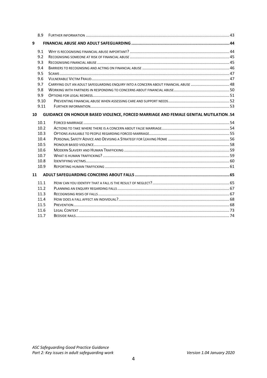|                                                                                            | 8.9  |                                                                                     |  |  |  |
|--------------------------------------------------------------------------------------------|------|-------------------------------------------------------------------------------------|--|--|--|
| 9                                                                                          |      |                                                                                     |  |  |  |
|                                                                                            | 9.1  |                                                                                     |  |  |  |
|                                                                                            | 9.2  |                                                                                     |  |  |  |
|                                                                                            | 9.3  |                                                                                     |  |  |  |
|                                                                                            | 9.4  |                                                                                     |  |  |  |
|                                                                                            | 9.5  |                                                                                     |  |  |  |
|                                                                                            | 9.6  |                                                                                     |  |  |  |
|                                                                                            | 9.7  | CARRYING OUT AN ADULT SAFEGUARDING ENQUIRY INTO A CONCERN ABOUT FINANCIAL ABUSE  48 |  |  |  |
|                                                                                            | 9.8  |                                                                                     |  |  |  |
|                                                                                            | 9.9  |                                                                                     |  |  |  |
|                                                                                            | 9.10 |                                                                                     |  |  |  |
|                                                                                            | 9.11 |                                                                                     |  |  |  |
| GUIDANCE ON HONOUR BASED VIOLENCE, FORCED MARRIAGE AND FEMALE GENITAL MUTILATION .54<br>10 |      |                                                                                     |  |  |  |
|                                                                                            | 10.1 |                                                                                     |  |  |  |
|                                                                                            | 10.2 |                                                                                     |  |  |  |
|                                                                                            | 10.3 |                                                                                     |  |  |  |
|                                                                                            | 10.4 |                                                                                     |  |  |  |
|                                                                                            | 10.5 |                                                                                     |  |  |  |
|                                                                                            | 10.6 |                                                                                     |  |  |  |
|                                                                                            | 10.7 |                                                                                     |  |  |  |
|                                                                                            | 10.8 |                                                                                     |  |  |  |
|                                                                                            | 10.9 |                                                                                     |  |  |  |
|                                                                                            |      |                                                                                     |  |  |  |
|                                                                                            | 11.1 |                                                                                     |  |  |  |
|                                                                                            | 11.2 |                                                                                     |  |  |  |
|                                                                                            | 11.3 |                                                                                     |  |  |  |
|                                                                                            | 11.4 |                                                                                     |  |  |  |
|                                                                                            | 11.5 |                                                                                     |  |  |  |
|                                                                                            | 11.6 |                                                                                     |  |  |  |
|                                                                                            | 11.7 |                                                                                     |  |  |  |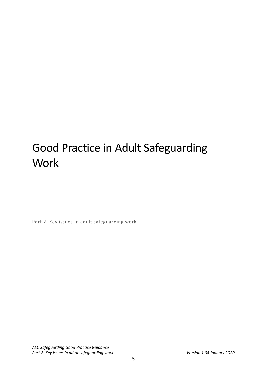# Good Practice in Adult Safeguarding **Work**

Part 2: Key issues in adult safeguarding work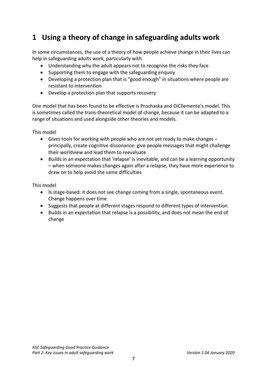# <span id="page-6-0"></span>**1 Using a theory of change in safeguarding adults work**

In some circumstances, the use of a theory of how people achieve change in their lives can help in safeguarding adults work, particularly with

- Understanding why the adult appears not to recognise the risks they face
- Supporting them to engage with the safeguarding enquiry
- Developing a protection plan that is "good enough" in situations where people are resistant to intervention
- Develop a protection plan that supports recovery

One model that has been found to be effective is Prochaska and DiCllemente's model. This is sometimes called the trans-theoretical model of change, because it can be adapted to a range of situations and used alongside other theories and models.

This model

- Gives tools for working with people who are not yet ready to make changes principally, create cognitive dissonance: give people messages that might challenge their worldview and lead them to reevaluate
- Builds in an expectation that 'relapse' is inevitable, and can be a learning opportunity – when someone makes changes again after a relapse, they have more experience to draw on to help avoid the same difficulties

This model

- Is stage-based: it does not see change coming from a single, spontaneous event. Change happens over time
- Suggests that people at different stages respond to different types of intervention
- Builds in an expectation that relapse is a possibility, and does not mean the end of change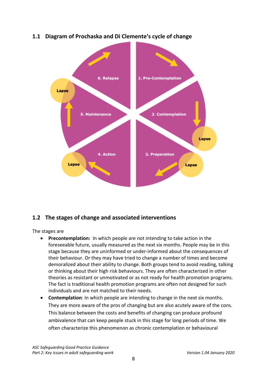

# **1.1 Diagram of Prochaska and Di Clemente's cycle of change**

# **1.2 The stages of change and associated interventions**

The stages are

- **Precontemplation:** In which people are not intending to take action in the foreseeable future, usually measured as the next six months. People may be in this stage because they are uninformed or under-informed about the consequences of their behaviour. Or they may have tried to change a number of times and become demoralized about their ability to change. Both groups tend to avoid reading, talking or thinking about their high risk behaviours. They are often characterized in other theories as resistant or unmotivated or as not ready for health promotion programs. The fact is traditional health promotion programs are often not designed for such individuals and are not matched to their needs.
- **Contemplation**: In which people are intending to change in the next six months. They are more aware of the pros of changing but are also acutely aware of the cons. This balance between the costs and benefits of changing can produce profound ambivalence that can keep people stuck in this stage for long periods of time. We often characterize this phenomenon as chronic contemplation or behavioural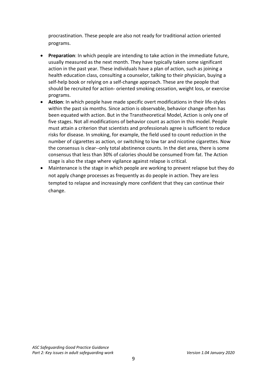procrastination. These people are also not ready for traditional action oriented programs.

- **Preparation**: In which people are intending to take action in the immediate future, usually measured as the next month. They have typically taken some significant action in the past year. These individuals have a plan of action, such as joining a health education class, consulting a counselor, talking to their physician, buying a self-help book or relying on a self-change approach. These are the people that should be recruited for action- oriented smoking cessation, weight loss, or exercise programs.
- **Action**: In which people have made specific overt modifications in their life-styles within the past six months. Since action is observable, behavior change often has been equated with action. But in the Transtheoretical Model, Action is only one of five stages. Not all modifications of behavior count as action in this model. People must attain a criterion that scientists and professionals agree is sufficient to reduce risks for disease. In smoking, for example, the field used to count reduction in the number of cigarettes as action, or switching to low tar and nicotine cigarettes. Now the consensus is clear--only total abstinence counts. In the diet area, there is some consensus that less than 30% of calories should be consumed from fat. The Action stage is also the stage where vigilance against relapse is critical.
- Maintenance is the stage in which people are working to prevent relapse but they do not apply change processes as frequently as do people in action. They are less tempted to relapse and increasingly more confident that they can continue their change.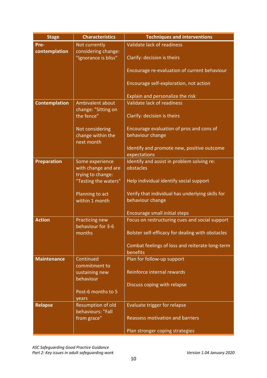| <b>Stage</b>         | <b>Characteristics</b>                      | <b>Techniques and interventions</b>              |
|----------------------|---------------------------------------------|--------------------------------------------------|
| Pre-                 | Not currently                               | Validate lack of readiness                       |
| contemplation        | considering change:<br>"Ignorance is bliss" | Clarify: decision is theirs                      |
|                      |                                             | Encourage re-evaluation of current behaviour     |
|                      |                                             | Encourage self-exploration, not action           |
|                      |                                             | Explain and personalize the risk                 |
| <b>Contemplation</b> | Ambivalent about                            | Validate lack of readiness                       |
|                      | change: "Sitting on<br>the fence"           | Clarify: decision is theirs                      |
|                      | Not considering                             | Encourage evaluation of pros and cons of         |
|                      | change within the                           | behaviour change                                 |
|                      | next month                                  |                                                  |
|                      |                                             | Identify and promote new, positive outcome       |
|                      |                                             | expectations                                     |
| <b>Preparation</b>   | Some experience                             | Identify and assist in problem solving re:       |
|                      | with change and are                         | obstacles                                        |
|                      | trying to change:                           |                                                  |
|                      | "Testing the waters"                        | Help individual identify social support          |
|                      | Planning to act                             | Verify that individual has underlying skills for |
|                      | within 1 month                              | behaviour change                                 |
|                      |                                             |                                                  |
|                      |                                             | Encourage small initial steps                    |
| <b>Action</b>        | Practicing new<br>behaviour for 3-6         | Focus on restructuring cues and social support   |
|                      | months                                      | Bolster self-efficacy for dealing with obstacles |
|                      |                                             | Combat feelings of loss and reiterate long-term  |
|                      |                                             | benefits                                         |
| <b>Maintenance</b>   | Continued                                   | Plan for follow-up support                       |
|                      | commitment to                               | Reinforce internal rewards                       |
|                      | sustaining new<br>behaviour                 |                                                  |
|                      |                                             | Discuss coping with relapse                      |
|                      | Post-6 months to 5                          |                                                  |
|                      | years                                       |                                                  |
| <b>Relapse</b>       | Resumption of old                           | <b>Evaluate trigger for relapse</b>              |
|                      | behaviours: "Fall                           |                                                  |
|                      | from grace"                                 | <b>Reassess motivation and barriers</b>          |
|                      |                                             | Plan stronger coping strategies                  |
|                      |                                             |                                                  |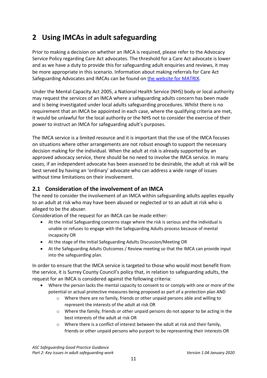# <span id="page-10-0"></span>**2 Using IMCAs in adult safeguarding**

Prior to making a decision on whether an IMCA is required, please refer to the Advocacy Service Policy regarding Care Act advocates. The threshold for a Care Act advocate is lower and as we have a duty to provide this for safeguarding adult enquiries and reviews, it may be more appropriate in this scenario. Information about making referrals for Care Act Safeguarding Advocates and IMCAs can be found on [the website for MATRIX.](https://advocacyinsurrey.org.uk/advocacyinsurrey/)

Under the Mental Capacity Act 2005, a National Health Service (NHS) body or local authority may request the services of an IMCA where a safeguarding adults concern has been made and is being investigated under local adults safeguarding procedures. Whilst there is no requirement that an IMCA be appointed in each case, where the qualifying criteria are met, it would be unlawful for the local authority or the NHS not to consider the exercise of their power to instruct an IMCA for safeguarding adult's purposes.

The IMCA service is a limited resource and it is important that the use of the IMCA focuses on situations where other arrangements are not robust enough to support the necessary decision making for the individual. When the adult at risk is already supported by an approved advocacy service, there should be no need to involve the IMCA service. In many cases, if an independent advocate has been assessed to be desirable, the adult at risk will be best served by having an 'ordinary' advocate who can address a wide range of issues without time limitations on their involvement.

# <span id="page-10-1"></span>**2.1 Consideration of the involvement of an IMCA**

The need to consider the involvement of an IMCA within safeguarding adults applies equally to an adult at risk who may have been abused or neglected or to an adult at risk who is alleged to be the abuser.

Consideration of the request for an IMCA can be made either:

- At the initial Safeguarding concerns stage where the risk is serious and the individual is unable or refuses to engage with the Safeguarding Adults process because of mental incapacity OR
- At the stage of the initial Safeguarding Adults Discussion/Meeting OR
- At the Safeguarding Adults Outcomes / Review meeting so that the IMCA can provide input into the safeguarding plan.

In order to ensure that the IMCA service is targeted to those who would most benefit from the service, it is Surrey County Council's policy that, in relation to safeguarding adults, the request for an IMCA is considered against the following criteria:

- Where the person lacks the mental capacity to consent to or comply with one or more of the potential or actual protective measures being proposed as part of a protection plan AND
	- $\circ$  Where there are no family, friends or other unpaid persons able and willing to represent the interests of the adult at risk OR
	- o Where the family, friends or other unpaid persons do not appear to be acting in the best interests of the adult at risk OR
	- o Where there is a conflict of interest between the adult at risk and their family, friends or other unpaid persons who purport to be representing their interests OR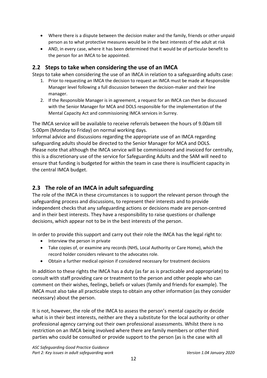- Where there is a dispute between the decision maker and the family, friends or other unpaid person as to what protective measures would be in the best interests of the adult at risk
- AND, in every case, where it has been determined that it would be of particular benefit to the person for an IMCA to be appointed.

# <span id="page-11-0"></span>**2.2 Steps to take when considering the use of an IMCA**

Steps to take when considering the use of an IMCA in relation to a safeguarding adults case:

- 1. Prior to requesting an IMCA the decision to request an IMCA must be made at Responsible Manager level following a full discussion between the decision-maker and their line manager.
- 2. If the Responsible Manager is in agreement, a request for an IMCA can then be discussed with the Senior Manager for MCA and DOLS responsible for the implementation of the Mental Capacity Act and commissioning IMCA services in Surrey.

The IMCA service will be available to receive referrals between the hours of 9.00am till 5.00pm (Monday to Friday) on normal working days.

Informal advice and discussions regarding the appropriate use of an IMCA regarding safeguarding adults should be directed to the Senior Manager for MCA and DOLS. Please note that although the IMCA service will be commissioned and invoiced for centrally, this is a discretionary use of the service for Safeguarding Adults and the SAM will need to ensure that funding is budgeted for within the team in case there is insufficient capacity in the central IMCA budget.

# <span id="page-11-1"></span>**2.3 The role of an IMCA in adult safeguarding**

The role of the IMCA in these circumstances is to support the relevant person through the safeguarding process and discussions, to represent their interests and to provide independent checks that any safeguarding actions or decisions made are person-centred and in their best interests. They have a responsibility to raise questions or challenge decisions, which appear not to be in the best interests of the person.

In order to provide this support and carry out their role the IMCA has the legal right to:

- Interview the person in private
- Take copies of, or examine any records (NHS, Local Authority or Care Home), which the record holder considers relevant to the advocates role.
- Obtain a further medical opinion if considered necessary for treatment decisions

In addition to these rights the IMCA has a duty (as far as is practicable and appropriate) to consult with staff providing care or treatment to the person and other people who can comment on their wishes, feelings, beliefs or values (family and friends for example). The IMCA must also take all practicable steps to obtain any other information (as they consider necessary) about the person.

It is not, however, the role of the IMCA to assess the person's mental capacity or decide what is in their best interests, neither are they a substitute for the local authority or other professional agency carrying out their own professional assessments. Whilst there is no restriction on an IMCA being involved where there are family members or other third parties who could be consulted or provide support to the person (as is the case with all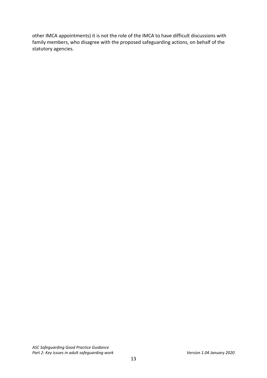other IMCA appointments) it is not the role of the IMCA to have difficult discussions with family members, who disagree with the proposed safeguarding actions, on behalf of the statutory agencies.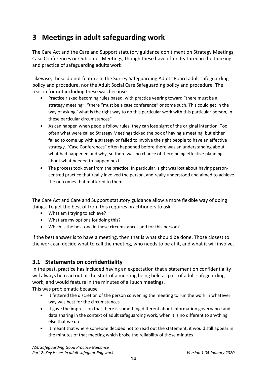# <span id="page-13-0"></span>**3 Meetings in adult safeguarding work**

The Care Act and the Care and Support statutory guidance don't mention Strategy Meetings, Case Conferences or Outcomes Meetings, though these have often featured in the thinking and practice of safeguarding adults work.

Likewise, these do not feature in the Surrey Safeguarding Adults Board adult safeguarding policy and procedure, nor the Adult Social Care Safeguarding policy and procedure. The reason for not including these was because

- Practice risked becoming rules based, with practice veering toward "there must be a strategy meeting", "there "must be a case conference" or some such. This could get in the way of asking "what is the right way to do this particular work with this particular person, in these particular circumstances"
- As can happen when people follow rules, they can lose sight of the original intention. Too often what were called Strategy Meetings ticked the box of having a meeting, but either failed to come up with a strategy or failed to involve the right people to have an effective strategy. "Case Conferences" often happened before there was an understanding about what had happened and why, so there was no chance of there being effective planning about what needed to happen next.
- The process took over from the practice. In particular, sight was lost about having personcentred practice that really involved the person, and really understood and aimed to achieve the outcomes that mattered to them

The Care Act and Care and Support statutory guidance allow a more flexible way of doing things. To get the best of from this requires practitioners to ask

- What am I trying to achieve?
- What are my options for doing this?
- Which is the best one in these circumstances and for this person?

If the best answer is to have a meeting, then that is what should be done. Those closest to the work can decide what to call the meeting, who needs to be at it, and what it will involve.

# <span id="page-13-1"></span>**3.1 Statements on confidentiality**

In the past, practice has included having an expectation that a statement on confidentiality will always be read out at the start of a meeting being held as part of adult safeguarding work, and would feature in the minutes of all such meetings.

This was problematic because

- It fettered the discretion of the person convening the meeting to run the work in whatever way was best for the circumstances
- It gave the impression that there is something different about information governance and data sharing in the context of adult safeguarding work, when it is no different to anything else that we do
- It meant that where someone decided not to read out the statement, it would still appear in the minutes of that meeting which broke the reliability of those minutes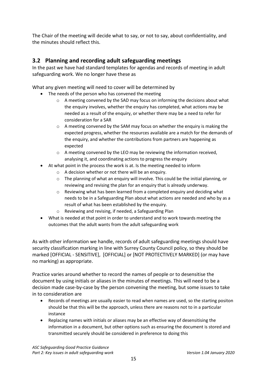The Chair of the meeting will decide what to say, or not to say, about confidentiality, and the minutes should reflect this.

# <span id="page-14-0"></span>**3.2 Planning and recording adult safeguarding meetings**

In the past we have had standard templates for agendas and records of meeting in adult safeguarding work. We no longer have these as

What any given meeting will need to cover will be determined by

- The needs of the person who has convened the meeting
	- o A meeting convened by the SAD may focus on informing the decisions about what the enquiry involves, whether the enquiry has completed, what actions may be needed as a result of the enquiry, or whether there may be a need to refer for consideration for a SAR
	- $\circ$  A meeting convened by the SAM may focus on whether the enquiry is making the expected progress, whether the resources available are a match for the demands of the enquiry, and whether the contributions from partners are happening as expected
	- o A meeting convened by the LEO may be reviewing the information received, analysing it, and coordinating actions to progress the enquiry
- At what point in the process the work is at. Is the meeting needed to inform
	- o A decision whether or not there will be an enquiry.
	- $\circ$  The planning of what an enquiry will involve. This could be the initial planning, or reviewing and revising the plan for an enquiry that is already underway.
	- o Reviewing what has been learned from a completed enquiry and deciding what needs to be in a Safeguarding Plan about what actions are needed and who by as a result of what has been established by the enquiry.
	- o Reviewing and revising, if needed, a Safeguarding Plan
- What is needed at that point in order to understand and to work towards meeting the outcomes that the adult wants from the adult safeguarding work

As with other information we handle, records of adult safeguarding meetings should have security classification marking in line with Surrey County Council policy, so they should be marked [OFFICIAL - SENSITIVE], [OFFICIAL] or [NOT PROTECTIVELY MARKED] (or may have no marking) as appropriate.

Practice varies around whether to record the names of people or to desensitise the document by using initials or aliases in the minutes of meetings. This will need to be a decision made case-by-case by the person convening the meeting, but some issues to take in to consideration are

- Records of meetings are usually easier to read when names are used, so the starting positon should be that this will be the approach, unless there are reasons not to in a particular instance
- Replacing names with initials or aliases may be an effective way of desensitising the information in a document, but other options such as ensuring the document is stored and transmitted securely should be considered in preference to doing this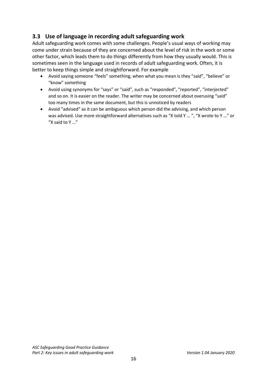# <span id="page-15-0"></span>**3.3 Use of language in recording adult safeguarding work**

Adult safeguarding work comes with some challenges. People's usual ways of working may come under strain because of they are concerned about the level of risk in the work or some other factor, which leads them to do things differently from how they usually would. This is sometimes seen in the language used in records of adult safeguarding work. Often, it is better to keep things simple and straightforward. For example

- Avoid saying someone "feels" something, when what you mean is they "said", "believe" or "know" something
- Avoid using synonyms for "says" or "said", such as "responded", "reported", "interjected" and so on. It is easier on the reader. The writer may be concerned about overusing "said" too many times in the same document, but this is unnoticed by readers
- Avoid "advised" as it can be ambiguous which person did the advising, and which person was advised. Use more straightforward alternatives such as "X told Y ... ", "X wrote to Y ..." or "X said to Y …"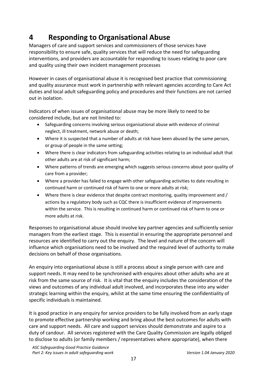# <span id="page-16-0"></span>**4 Responding to Organisational Abuse**

Managers of care and support services and commissioners of those services have responsibility to ensure safe, quality services that will reduce the need for safeguarding interventions, and providers are accountable for responding to issues relating to poor care and quality using their own incident management processes

However in cases of organisational abuse it is recognised best practice that commissioning and quality assurance must work in partnership with relevant agencies according to Care Act duties and local adult safeguarding policy and procedures and their functions are not carried out in isolation.

Indicators of when issues of organisational abuse may be more likely to need to be considered include, but are not limited to:

- Safeguarding concerns involving serious organisational abuse with evidence of criminal neglect, ill treatment, network abuse or death;
- Where it is suspected that a number of adults at risk have been abused by the same person, or group of people in the same setting;
- Where there is clear indicators from safeguarding activities relating to an individual adult that other adults are at risk of significant harm;
- Where patterns of trends are emerging which suggests serious concerns about poor quality of care from a provider;
- Where a provider has failed to engage with other safeguarding activities to date resulting in continued harm or continued risk of harm to one or more adults at risk;
- Where there is clear evidence that despite contract monitoring, quality improvement and / actions by a regulatory body such as CQC there is insufficient evidence of improvements within the service. This is resulting in continued harm or continued risk of harm to one or more adults at risk.

Responses to organisational abuse should involve key partner agencies and sufficiently senior managers from the earliest stage. This is essential in ensuring the appropriate personnel and resources are identified to carry out the enquiry. The level and nature of the concern will influence which organisations need to be involved and the required level of authority to make decisions on behalf of those organisations.

An enquiry into organisational abuse is still a process about a single person with care and support needs. It may need to be synchronised with enquires about other adults who are at risk from the same source of risk. It is vital that the enquiry includes the consideration of the views and outcomes of any individual adult involved, and incorporates these into any wider strategic learning within the enquiry, whilst at the same time ensuring the confidentiality of specific individuals is maintained.

It is good practice in any enquiry for service providers to be fully involved from an early stage to promote effective partnership working and bring about the best outcomes for adults with care and support needs. All care and support services should demonstrate and aspire to a duty of candour. All services registered with the Care Quality Commission are legally obliged to disclose to adults (or family members / representatives where appropriate), when there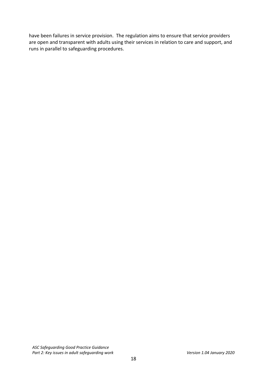have been failures in service provision. The regulation aims to ensure that service providers are open and transparent with adults using their services in relation to care and support, and runs in parallel to safeguarding procedures.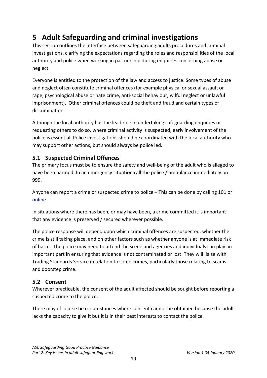# <span id="page-18-0"></span>**5 Adult Safeguarding and criminal investigations**

This section outlines the interface between safeguarding adults procedures and criminal investigations, clarifying the expectations regarding the roles and responsibilities of the local authority and police when working in partnership during enquiries concerning abuse or neglect.

Everyone is entitled to the protection of the law and access to justice. Some types of abuse and neglect often constitute criminal offences (for example physical or sexual assault or rape, psychological abuse or hate crime, anti-social behaviour, wilful neglect or unlawful imprisonment). Other criminal offences could be theft and fraud and certain types of discrimination.

Although the local authority has the lead role in undertaking safeguarding enquiries or requesting others to do so, where criminal activity is suspected, early involvement of the police is essential. Police investigations should be coordinated with the local authority who may support other actions, but should always be police led.

# <span id="page-18-1"></span>**5.1 Suspected Criminal Offences**

The primary focus must be to ensure the safety and well-being of the adult who is alleged to have been harmed. In an emergency situation call the police / ambulance immediately on 999.

Anyone can report a crime or suspected crime to police – This can be done by calling 101 or [online](https://report.police.uk/) 

In situations where there has been, or may have been, a crime committed it is important that any evidence is preserved / secured wherever possible.

The police response will depend upon which criminal offences are suspected, whether the crime is still taking place, and on other factors such as whether anyone is at immediate risk of harm. The police may need to attend the scene and agencies and individuals can play an important part in ensuring that evidence is not contaminated or lost. They will liaise with Trading Standards Service in relation to some crimes, particularly those relating to scams and doorstep crime.

# <span id="page-18-2"></span>**5.2 Consent**

Wherever practicable, the consent of the adult affected should be sought before reporting a suspected crime to the police.

There may of course be circumstances where consent cannot be obtained because the adult lacks the capacity to give it but it is in their best interests to contact the police.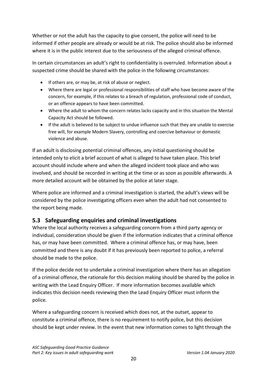Whether or not the adult has the capacity to give consent, the police will need to be informed if other people are already or would be at risk. The police should also be informed where it is in the public interest due to the seriousness of the alleged criminal offence.

In certain circumstances an adult's right to confidentiality is overruled. Information about a suspected crime should be shared with the police in the following circumstances:

- If others are, or may be, at risk of abuse or neglect.
- Where there are legal or professional responsibilities of staff who have become aware of the concern, for example, if this relates to a breach of regulation, professional code of conduct, or an offence appears to have been committed.
- Where the adult to whom the concern relates lacks capacity and in this situation the Mental Capacity Act should be followed.
- If the adult is believed to be subject to undue influence such that they are unable to exercise free will, for example Modern Slavery, controlling and coercive behaviour or domestic violence and abuse.

If an adult is disclosing potential criminal offences, any initial questioning should be intended only to elicit a brief account of what is alleged to have taken place. This brief account should include where and when the alleged incident took place and who was involved, and should be recorded in writing at the time or as soon as possible afterwards. A more detailed account will be obtained by the police at later stage.

Where police are informed and a criminal investigation is started, the adult's views will be considered by the police investigating officers even when the adult had not consented to the report being made.

# <span id="page-19-0"></span>**5.3 Safeguarding enquiries and criminal investigations**

Where the local authority receives a safeguarding concern from a third party agency or individual, consideration should be given if the information indicates that a criminal offence has, or may have been committed. Where a criminal offence has, or may have, been committed and there is any doubt if it has previously been reported to police, a referral should be made to the police.

If the police decide not to undertake a criminal investigation where there has an allegation of a criminal offence, the rationale for this decision making should be shared by the police in writing with the Lead Enquiry Officer. If more information becomes available which indicates this decision needs reviewing then the Lead Enquiry Officer must inform the police.

Where a safeguarding concern is received which does not, at the outset, appear to constitute a criminal offence, there is no requirement to notify police, but this decision should be kept under review. In the event that new information comes to light through the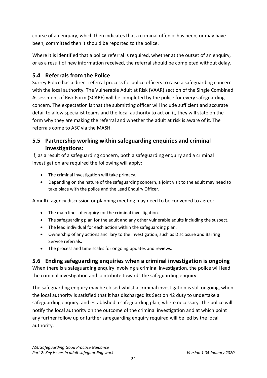course of an enquiry, which then indicates that a criminal offence has been, or may have been, committed then it should be reported to the police.

Where it is identified that a police referral is required, whether at the outset of an enquiry, or as a result of new information received, the referral should be completed without delay.

# <span id="page-20-0"></span>**5.4 Referrals from the Police**

Surrey Police has a direct referral process for police officers to raise a safeguarding concern with the local authority. The Vulnerable Adult at Risk (VAAR) section of the Single Combined Assessment of Risk Form (SCARF) will be completed by the police for every safeguarding concern. The expectation is that the submitting officer will include sufficient and accurate detail to allow specialist teams and the local authority to act on it, they will state on the form why they are making the referral and whether the adult at risk is aware of it. The referrals come to ASC via the MASH.

# <span id="page-20-1"></span>**5.5 Partnership working within safeguarding enquiries and criminal investigations:**

If, as a result of a safeguarding concern, both a safeguarding enquiry and a criminal investigation are required the following will apply:

- The criminal investigation will take primacy.
- Depending on the nature of the safeguarding concern, a joint visit to the adult may need to take place with the police and the Lead Enquiry Officer.

A multi- agency discussion or planning meeting may need to be convened to agree:

- The main lines of enquiry for the criminal investigation.
- The safeguarding plan for the adult and any other vulnerable adults including the suspect.
- The lead individual for each action within the safeguarding plan.
- Ownership of any actions ancillary to the investigation, such as Disclosure and Barring Service referrals.
- The process and time scales for ongoing updates and reviews.

# <span id="page-20-2"></span>**5.6 Ending safeguarding enquiries when a criminal investigation is ongoing**

When there is a safeguarding enquiry involving a criminal investigation, the police will lead the criminal investigation and contribute towards the safeguarding enquiry.

The safeguarding enquiry may be closed whilst a criminal investigation is still ongoing, when the local authority is satisfied that it has discharged its Section 42 duty to undertake a safeguarding enquiry, and established a safeguarding plan, where necessary. The police will notify the local authority on the outcome of the criminal investigation and at which point any further follow up or further safeguarding enquiry required will be led by the local authority.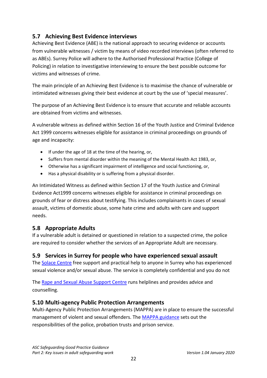# <span id="page-21-0"></span>**5.7 Achieving Best Evidence interviews**

Achieving Best Evidence (ABE) is the national approach to securing evidence or accounts from vulnerable witnesses / victim by means of video recorded interviews (often referred to as ABEs). Surrey Police will adhere to the Authorised Professional Practice (College of Policing) in relation to investigative interviewing to ensure the best possible outcome for victims and witnesses of crime.

The main principle of an Achieving Best Evidence is to maximise the chance of vulnerable or intimidated witnesses giving their best evidence at court by the use of 'special measures'.

The purpose of an Achieving Best Evidence is to ensure that accurate and reliable accounts are obtained from victims and witnesses.

A vulnerable witness as defined within Section 16 of the Youth Justice and Criminal Evidence Act 1999 concerns witnesses eligible for assistance in criminal proceedings on grounds of age and incapacity:

- If under the age of 18 at the time of the hearing, or,
- Suffers from mental disorder within the meaning of the Mental Health Act 1983, or,
- Otherwise has a significant impairment of intelligence and social functioning, or,
- Has a physical disability or is suffering from a physical disorder.

An Intimidated Witness as defined within Section 17 of the Youth Justice and Criminal Evidence Act1999 concerns witnesses eligible for assistance in criminal proceedings on grounds of fear or distress about testifying. This includes complainants in cases of sexual assault, victims of domestic abuse, some hate crime and adults with care and support needs.

# <span id="page-21-1"></span>**5.8 Appropriate Adults**

If a vulnerable adult is detained or questioned in relation to a suspected crime, the police are required to consider whether the services of an Appropriate Adult are necessary.

# <span id="page-21-2"></span>**5.9 Services in Surrey for people who have experienced sexual assault**

The [Solace Centre](https://www.surreysolace.org/) free support and practical help to anyone in Surrey who has experienced sexual violence and/or sexual abuse. The service is completely confidential and you do not

The [Rape and Sexual Abuse Support Centre](https://www.rasasc.org/) runs helplines and provides advice and counselling.

# <span id="page-21-3"></span>**5.10 Multi-agency Public Protection Arrangements**

Multi-Agency Public Protection Arrangements (MAPPA) are in place to ensure the successful management of violent and sexual offenders. Th[e MAPPA guidance](https://www.gov.uk/government/publications/multi-agency-public-protection-arrangements-mappa--2) sets out the responsibilities of the police, probation trusts and prison service.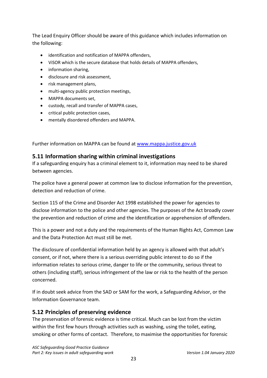The Lead Enquiry Officer should be aware of this guidance which includes information on the following:

- identification and notification of MAPPA offenders,
- ViSOR which is the secure database that holds details of MAPPA offenders,
- information sharing,
- disclosure and risk assessment,
- risk management plans,
- multi-agency public protection meetings,
- MAPPA documents set,
- custody, recall and transfer of MAPPA cases,
- critical public protection cases,
- mentally disordered offenders and MAPPA.

Further information on MAPPA can be found at [www.mappa.justice.gov.uk](file://surreycc.local/home/c/cguerin/Data/My%20Documents/1%20Projects/ASC%20Projects/Remodelling%20Adult%20Safeguarding%20August%202017/Policy%20Procedure%20and%20Guidance/ASC%20P&Ps/www.mappa.justice.gov.uk)

### <span id="page-22-0"></span>**5.11 Information sharing within criminal investigations**

If a safeguarding enquiry has a criminal element to it, information may need to be shared between agencies.

The police have a general power at common law to disclose information for the prevention, detection and reduction of crime.

Section 115 of the Crime and Disorder Act 1998 established the power for agencies to disclose information to the police and other agencies. The purposes of the Act broadly cover the prevention and reduction of crime and the identification or apprehension of offenders.

This is a power and not a duty and the requirements of the Human Rights Act, Common Law and the Data Protection Act must still be met.

The disclosure of confidential information held by an agency is allowed with that adult's consent, or if not, where there is a serious overriding public interest to do so if the information relates to serious crime, danger to life or the community, serious threat to others (including staff), serious infringement of the law or risk to the health of the person concerned.

If in doubt seek advice from the SAD or SAM for the work, a Safeguarding Advisor, or the Information Governance team.

# <span id="page-22-1"></span>**5.12 Principles of preserving evidence**

The preservation of forensic evidence is time critical. Much can be lost from the victim within the first few hours through activities such as washing, using the toilet, eating, smoking or other forms of contact. Therefore, to maximise the opportunities for forensic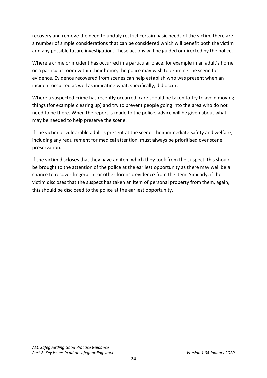recovery and remove the need to unduly restrict certain basic needs of the victim, there are a number of simple considerations that can be considered which will benefit both the victim and any possible future investigation. These actions will be guided or directed by the police.

Where a crime or incident has occurred in a particular place, for example in an adult's home or a particular room within their home, the police may wish to examine the scene for evidence. Evidence recovered from scenes can help establish who was present when an incident occurred as well as indicating what, specifically, did occur.

Where a suspected crime has recently occurred, care should be taken to try to avoid moving things (for example clearing up) and try to prevent people going into the area who do not need to be there. When the report is made to the police, advice will be given about what may be needed to help preserve the scene.

If the victim or vulnerable adult is present at the scene, their immediate safety and welfare, including any requirement for medical attention, must always be prioritised over scene preservation.

If the victim discloses that they have an item which they took from the suspect, this should be brought to the attention of the police at the earliest opportunity as there may well be a chance to recover fingerprint or other forensic evidence from the item. Similarly, if the victim discloses that the suspect has taken an item of personal property from them, again, this should be disclosed to the police at the earliest opportunity.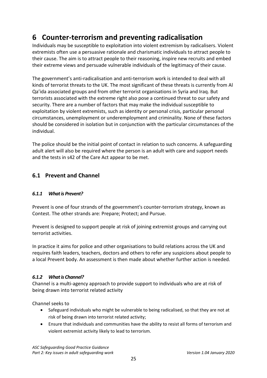# <span id="page-24-0"></span>**6 Counter-terrorism and preventing radicalisation**

Individuals may be susceptible to exploitation into violent extremism by radicalisers. Violent extremists often use a persuasive rationale and charismatic individuals to attract people to their cause. The aim is to attract people to their reasoning, inspire new recruits and embed their extreme views and persuade vulnerable individuals of the legitimacy of their cause.

The government's anti-radicalisation and anti-terrorism work is intended to deal with all kinds of terrorist threats to the UK. The most significant of these threats is currently from Al Qa'ida associated groups and from other terrorist organisations in Syria and Iraq. But terrorists associated with the extreme right also pose a continued threat to our safety and security. There are a number of factors that may make the individual susceptible to exploitation by violent extremists, such as identity or personal crisis, particular personal circumstances, unemployment or underemployment and criminality. None of these factors should be considered in isolation but in conjunction with the particular circumstances of the individual.

The police should be the initial point of contact in relation to such concerns. A safeguarding adult alert will also be required where the person is an adult with care and support needs and the tests in s42 of the Care Act appear to be met.

# <span id="page-24-1"></span>**6.1 Prevent and Channel**

#### *6.1.1 What is Prevent?*

Prevent is one of four strands of the government's counter-terrorism strategy, known as Contest. The other strands are: Prepare; Protect; and Pursue.

Prevent is designed to support people at risk of joining extremist groups and carrying out terrorist activities.

In practice it aims for police and other organisations to build relations across the UK and requires faith leaders, teachers, doctors and others to refer any suspicions about people to a local Prevent body. An assessment is then made about whether further action is needed.

#### *6.1.2 What is Channel?*

Channel is a multi-agency approach to provide support to individuals who are at risk of being drawn into terrorist related activity

Channel seeks to

- Safeguard individuals who might be vulnerable to being radicalised, so that they are not at risk of being drawn into terrorist related activity;
- Ensure that individuals and communities have the ability to resist all forms of terrorism and violent extremist activity likely to lead to terrorism.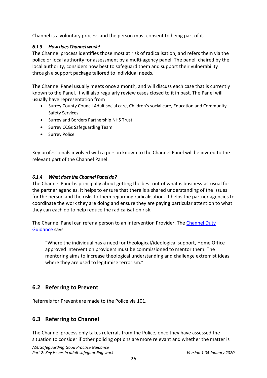Channel is a voluntary process and the person must consent to being part of it.

#### *6.1.3 How does Channel work?*

The Channel process identifies those most at risk of radicalisation, and refers them via the police or local authority for assessment by a multi-agency panel. The panel, chaired by the local authority, considers how best to safeguard them and support their vulnerability through a support package tailored to individual needs.

The Channel Panel usually meets once a month, and will discuss each case that is currently known to the Panel. It will also regularly review cases closed to it in past. The Panel will usually have representation from

- Surrey County Council Adult social care, Children's social care, Education and Community Safety Services
- Surrey and Borders Partnership NHS Trust
- Surrey CCGs Safeguarding Team
- Surrey Police

Key professionals involved with a person known to the Channel Panel will be invited to the relevant part of the Channel Panel.

#### *6.1.4 What does the Channel Panel do?*

The Channel Panel is principally about getting the best out of what is business-as-usual for the partner agencies. It helps to ensure that there is a shared understanding of the issues for the person and the risks to them regarding radicalisation. It helps the partner agencies to coordinate the work they are doing and ensure they are paying particular attention to what they can each do to help reduce the radicalisation risk.

The Channel Panel can refer a person to an Intervention Provider. The Channel Duty [Guidance](https://assets.publishing.service.gov.uk/government/uploads/system/uploads/attachment_data/file/425189/Channel_Duty_Guidance_April_2015.pdf) says

"Where the individual has a need for theological/ideological support, Home Office approved intervention providers must be commissioned to mentor them. The mentoring aims to increase theological understanding and challenge extremist ideas where they are used to legitimise terrorism."

# <span id="page-25-0"></span>**6.2 Referring to Prevent**

Referrals for Prevent are made to the Police via 101.

# <span id="page-25-1"></span>**6.3 Referring to Channel**

The Channel process only takes referrals from the Police, once they have assessed the situation to consider if other policing options are more relevant and whether the matter is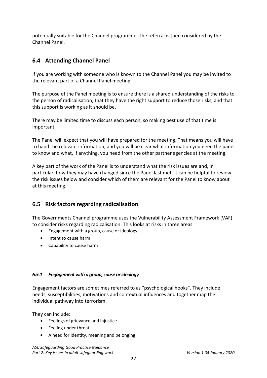potentially suitable for the Channel programme. The referral is then considered by the Channel Panel.

# <span id="page-26-0"></span>**6.4 Attending Channel Panel**

If you are working with someone who is known to the Channel Panel you may be invited to the relevant part of a Channel Panel meeting.

The purpose of the Panel meeting is to ensure there is a shared understanding of the risks to the person of radicalisation, that they have the right support to reduce those risks, and that this support is working as it should be.

There may be limited time to discuss each person, so making best use of that time is important.

The Panel will expect that you will have prepared for the meeting. That means you will have to hand the relevant information, and you will be clear what information you need the panel to know and what, if anything, you need from the other partner agencies at the meeting.

A key part of the work of the Panel is to understand what the risk issues are and, in particular, how they may have changed since the Panel last met. It can be helpful to review the risk issues below and consider which of them are relevant for the Panel to know about at this meeting.

# <span id="page-26-1"></span>**6.5 Risk factors regarding radicalisation**

The Governments Channel programme uses the Vulnerability Assessment Framework (VAF) to consider risks regarding radicalisation. This looks at risks in three areas

- Engagement with a group, cause or ideology
- Intent to cause harm
- Capability to cause harm

#### *6.5.1 Engagement with a group, cause or ideology*

Engagement factors are sometimes referred to as "psychological hooks". They include needs, susceptibilities, motivations and contextual influences and together map the individual pathway into terrorism.

They can include:

- Feelings of grievance and injustice
- Feeling under threat
- A need for identity, meaning and belonging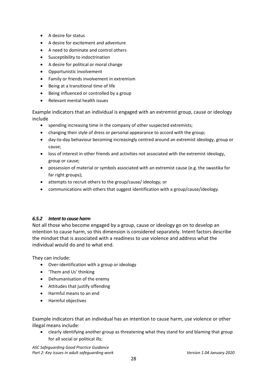- A desire for status
- A desire for excitement and adventure
- A need to dominate and control others
- Susceptibility to indoctrination
- A desire for political or moral change
- Opportunistic involvement
- Family or friends involvement in extremism
- Being at a transitional time of life
- Being influenced or controlled by a group
- Relevant mental health issues

Example indicators that an individual is engaged with an extremist group, cause or ideology include

- spending increasing time in the company of other suspected extremists;
- changing their style of dress or personal appearance to accord with the group;
- day-to-day behaviour becoming increasingly centred around an extremist ideology, group or cause;
- loss of interest in other friends and activities not associated with the extremist ideology, group or cause;
- possession of material or symbols associated with an extremist cause (e.g. the swastika for far right groups);
- attempts to recruit others to the group/cause/ ideology; or
- communications with others that suggest identification with a group/cause/ideology.

#### *6.5.2 Intent to cause harm*

Not all those who become engaged by a group, cause or ideology go on to develop an intention to cause harm, so this dimension is considered separately. Intent factors describe the mindset that is associated with a readiness to use violence and address what the individual would do and to what end.

They can include:

- Over-identification with a group or ideology
- 'Them and Us' thinking
- Dehumanisation of the enemy
- Attitudes that justify offending
- Harmful means to an end
- Harmful objectives

Example indicators that an individual has an intention to cause harm, use violence or other illegal means include:

• clearly identifying another group as threatening what they stand for and blaming that group for all social or political ills;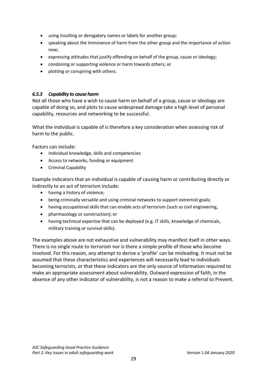- using insulting or derogatory names or labels for another group;
- speaking about the imminence of harm from the other group and the importance of action now;
- expressing attitudes that justify offending on behalf of the group, cause or ideology;
- condoning or supporting violence or harm towards others; or
- plotting or conspiring with others.

#### *6.5.3 Capability to cause harm*

Not all those who have a wish to cause harm on behalf of a group, cause or ideology are capable of doing so, and plots to cause widespread damage take a high level of personal capability, resources and networking to be successful.

What the individual is capable of is therefore a key consideration when assessing risk of harm to the public.

Factors can include:

- Individual knowledge, skills and competencies
- Access to networks, funding or equipment
- Criminal Capability

Example indicators that an individual is capable of causing harm or contributing directly or indirectly to an act of terrorism include:

- having a history of violence;
- being criminally versatile and using criminal networks to support extremist goals;
- having occupational skills that can enable acts of terrorism (such as civil engineering,
- pharmacology or construction); or
- having technical expertise that can be deployed (e.g. IT skills, knowledge of chemicals, military training or survival skills).

The examples above are not exhaustive and vulnerability may manifest itself in other ways. There is no single route to terrorism nor is there a simple profile of those who become involved. For this reason, any attempt to derive a 'profile' can be misleading. It must not be assumed that these characteristics and experiences will necessarily lead to individuals becoming terrorists, or that these indicators are the only source of information required to make an appropriate assessment about vulnerability. Outward expression of faith, in the absence of any other indicator of vulnerability, is not a reason to make a referral to Prevent.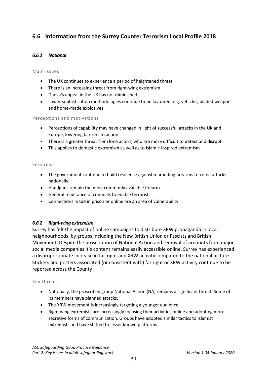# <span id="page-29-0"></span>**6.6 Information from the Surrey Counter Terrorism Local Profile 2018**

#### *6.6.1 National*

#### Main issues

- The UK continues to experience a period of heightened threat
- There is an increasing threat from right-wing extremism
- Daesh's appeal in the UK has not diminished
- Lower sophistication methodologies continue to be favoured, e.g. vehicles, bladed weapons and home-made explosives

#### Perceptions and motivations

- Perceptions of capability may have changed in light of successful attacks in the UK and Europe, lowering barriers to action
- There is a greater threat from lone actors, who are more difficult to detect and disrupt
- This applies to domestic extremism as well as to Islamic-inspired extremism

#### Firearms

- The government continue to build resilience against marauding firearms terrorist attacks nationally
- Handguns remain the most commonly available firearm
- General reluctance of criminals to enable terrorists
- Connections made in prison or online are an area of vulnerability

#### *6.6.2 Right-wing extremism*

Surrey has felt the impact of online campaigns to distribute XRW propaganda in local neighbourhoods, by groups including the New British Union or Fascists and British Movement. Despite the proscription of National Action and removal of accounts from major social media companies it's content remains easily accessible online. Surrey has experienced a disproportionate increase in far-right and XRW activity compared to the national picture. Stickers and posters associated (or consistent with) far right or XRW activity continue to be reported across the County

#### Key threats

- Nationally, the proscribed group National Action (NA) remains a significant threat. Some of its members have planned attacks.
- The XRW movement is increasingly targeting a younger audience.
- Right wing extremists are increasingly focusing their activities online and adopting more secretive forms of communication. Groups have adopted similar tactics to Islamist extremists and have shifted to lesser known platforms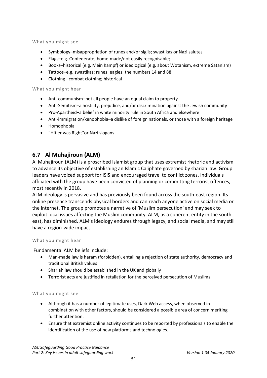What you might see

- Symbology–misappropriation of runes and/or sigils; swastikas or Nazi salutes
- Flags–e.g. Confederate; home-made/not easily recognisable;
- Books–historical (e.g. Mein Kampf) or ideological (e.g. about Wotanism, extreme Satanism)
- Tattoos–e.g. swastikas; runes; eagles; the numbers 14 and 88
- Clothing –combat clothing; historical

What you might hear

- Anti-communism–not all people have an equal claim to property
- Anti-Semitism–a hostility, prejudice, and/or discrimination against the Jewish community
- Pro-Apartheid–a belief in white minority rule in South Africa and elsewhere
- Anti-immigration/xenophobia–a dislike of foreign nationals, or those with a foreign heritage
- Homophobia
- "Hitler was Right"or Nazi slogans

### <span id="page-30-0"></span>**6.7 Al Muhajiroun (ALM)**

Al Muhajiroun (ALM) is a proscribed Islamist group that uses extremist rhetoric and activism to advance its objective of establishing an Islamic Caliphate governed by shariah law. Group leaders have voiced support for ISIS and encouraged travel to conflict zones. Individuals affiliated with the group have been convicted of planning or committing terrorist offences, most recently in 2018.

ALM ideology is pervasive and has previously been found across the south-east region. Its online presence transcends physical borders and can reach anyone active on social media or the internet. The group promotes a narrative of 'Muslim persecution' and may seek to exploit local issues affecting the Muslim community. ALM, as a coherent entity in the southeast, has diminished. ALM's ideology endures through legacy, and social media, and may still have a region-wide impact.

#### What you might hear

Fundamental ALM beliefs include:

- Man-made law is haram (forbidden), entailing a rejection of state authority, democracy and traditional British values
- Shariah law should be established in the UK and globally
- Terrorist acts are justified in retaliation for the perceived persecution of Muslims

#### What you might see

- Although it has a number of legitimate uses, Dark Web access, when observed in combination with other factors, should be considered a possible area of concern meriting further attention.
- Ensure that extremist online activity continues to be reported by professionals to enable the identification of the use of new platforms and technologies.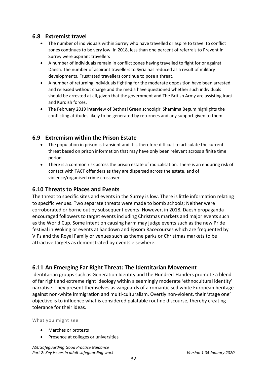### <span id="page-31-0"></span>**6.8 Extremist travel**

- The number of individuals within Surrey who have travelled or aspire to travel to conflict zones continues to be very low. In 2018, less than one percent of referrals to Prevent in Surrey were aspirant travellers
- A number of individuals remain in conflict zones having travelled to fight for or against Daesh. The number of aspirant travellers to Syria has reduced as a result of military developments. Frustrated travellers continue to pose a threat.
- A number of returning individuals fighting for the moderate opposition have been arrested and released without charge and the media have questioned whether such individuals should be arrested at all, given that the government and The British Army are assisting Iraqi and Kurdish forces.
- The February 2019 interview of Bethnal Green schoolgirl Shamima Begum highlights the conflicting attitudes likely to be generated by returnees and any support given to them.

### <span id="page-31-1"></span>**6.9 Extremism within the Prison Estate**

- The population in prison is transient and it is therefore difficult to articulate the current threat based on prison information that may have only been relevant across a finite time period.
- There is a common risk across the prison estate of radicalisation. There is an enduring risk of contact with TACT offenders as they are dispersed across the estate, and of violence/organised crime crossover.

#### <span id="page-31-2"></span>**6.10 Threats to Places and Events**

The threat to specific sites and events in the Surrey is low. There is little information relating to specific venues. Two separate threats were made to bomb schools; Neither were corroborated or borne out by subsequent events. However, in 2018, Daesh propaganda encouraged followers to target events including Christmas markets and major events such as the World Cup. Some intent on causing harm may judge events such as the new Pride festival in Woking or events at Sandown and Epsom Racecourses which are frequented by VIPs and the Royal Family or venues such as theme parks or Christmas markets to be attractive targets as demonstrated by events elsewhere.

### <span id="page-31-3"></span>**6.11 An Emerging Far Right Threat: The Identitarian Movement**

Identitarian groups such as Generation Identity and the Hundred-Handers promote a blend of far right and extreme right ideology within a seemingly moderate 'ethnocultural identity' narrative. They present themselves as vanguards of a romanticised white European heritage against non-white immigration and multi-culturalism. Overtly non-violent, their 'stage one' objective is to influence what is considered palatable routine discourse, thereby creating tolerance for their ideas.

What you might see

- Marches or protests
- Presence at colleges or universities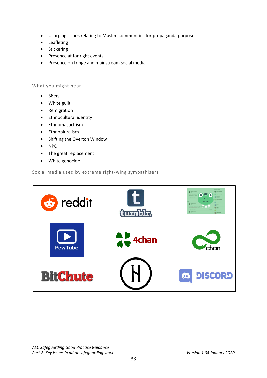- Usurping issues relating to Muslim communities for propaganda purposes
- Leafleting
- Stickering
- Presence at far right events
- Presence on fringe and mainstream social media

#### What you might hear

- 68ers
- White guilt
- Remigration
- Ethnocultural identity
- Ethnomasochism
- Ethnopluralism
- Shifting the Overton Window
- NPC
- The great replacement
- White genocide

#### Social media used by extreme right-wing sympathisers

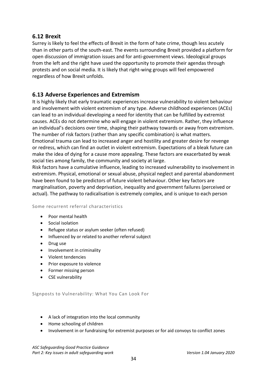### <span id="page-33-0"></span>**6.12 Brexit**

Surrey is likely to feel the effects of Brexit in the form of hate crime, though less acutely than in other parts of the south-east. The events surrounding Brexit provided a platform for open discussion of immigration issues and for anti-government views. Ideological groups from the left and the right have used the opportunity to promote their agendas through protests and on social media. It is likely that right-wing groups will feel empowered regardless of how Brexit unfolds.

### <span id="page-33-1"></span>**6.13 Adverse Experiences and Extremism**

It is highly likely that early traumatic experiences increase vulnerability to violent behaviour and involvement with violent extremism of any type. Adverse childhood experiences (ACEs) can lead to an individual developing a need for identity that can be fulfilled by extremist causes. ACEs do not determine who will engage in violent extremism. Rather, they influence an individual's decisions over time, shaping their pathway towards or away from extremism. The number of risk factors (rather than any specific combination) is what matters. Emotional trauma can lead to increased anger and hostility and greater desire for revenge or redress, which can find an outlet in violent extremism. Expectations of a bleak future can make the idea of dying for a cause more appealing. These factors are exacerbated by weak social ties among family, the community and society at large.

Risk factors have a cumulative influence, leading to increased vulnerability to involvement in extremism. Physical, emotional or sexual abuse, physical neglect and parental abandonment have been found to be predictors of future violent behaviour. Other key factors are marginalisation, poverty and deprivation, inequality and government failures (perceived or actual). The pathway to radicalisation is extremely complex, and is unique to each person

#### Some recurrent referral characteristics

- Poor mental health
- Social isolation
- Refugee status or asylum seeker (often refused)
- Influenced by or related to another referral subject
- Drug use
- Involvement in criminality
- Violent tendencies
- Prior exposure to violence
- Former missing person
- CSE vulnerability

Signposts to Vulnerability: What You Can Look For

- A lack of integration into the local community
- Home schooling of children
- Involvement in or fundraising for extremist purposes or for aid convoys to conflict zones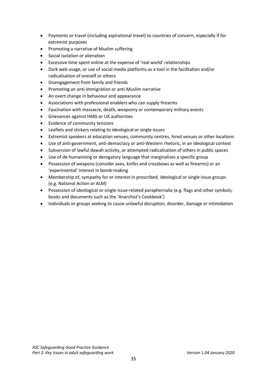- Payments or travel (including aspirational travel) to countries of concern, especially if for extremist purposes
- Promoting a narrative of Muslim suffering
- Social isolation or alienation
- Excessive time spent online at the expense of 'real world' relationships
- Dark web usage, or use of social media platforms as a tool in the facilitation and/or radicalisation of oneself or others
- Disengagement from family and friends
- Promoting an anti-immigration or anti-Muslim narrative
- An overt change in behaviour and appearance
- Associations with professional enablers who can supply firearms
- Fascination with massacre, death, weaponry or contemporary military events
- Grievances against HMG or UK authorities
- Evidence of community tensions
- Leaflets and stickers relating to ideological or single issues
- Extremist speakers at education venues, community centres, hired venues or other locations
- Use of anti-government, anti-democracy or anti-Western rhetoric, in an ideological context
- Subversion of lawful dawah activity, or attempted radicalisation of others in public spaces
- Use of de-humanising or derogatory language that marginalises a specific group
- Possession of weapons (consider axes, knifes and crossbows as well as firearms) or an 'experimental' interest in bomb-making
- Membership of, sympathy for or interest in proscribed, ideological or single-issue groups (e.g. National Action or ALM)
- Possession of ideological or single-issue-related paraphernalia (e.g. flags and other symbols; books and documents such as the 'Anarchist's Cookbook')
- Individuals or groups seeking to cause unlawful disruption, disorder, damage or intimidation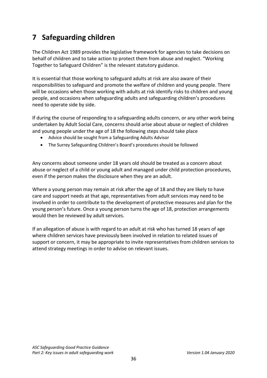# <span id="page-35-0"></span>**7 Safeguarding children**

The Children Act 1989 provides the legislative framework for agencies to take decisions on behalf of children and to take action to protect them from abuse and neglect. "Working Together to Safeguard Children" is the relevant statutory guidance.

It is essential that those working to safeguard adults at risk are also aware of their responsibilities to safeguard and promote the welfare of children and young people. There will be occasions when those working with adults at risk identify risks to children and young people, and occasions when safeguarding adults and safeguarding children's procedures need to operate side by side.

If during the course of responding to a safeguarding adults concern, or any other work being undertaken by Adult Social Care, concerns should arise about abuse or neglect of children and young people under the age of 18 the following steps should take place

- Advice should be sought from a Safeguarding Adults Advisor
- The Surrey Safeguarding Children's Board's procedures should be followed

Any concerns about someone under 18 years old should be treated as a concern about abuse or neglect of a child or young adult and managed under child protection procedures, even if the person makes the disclosure when they are an adult.

Where a young person may remain at risk after the age of 18 and they are likely to have care and support needs at that age, representatives from adult services may need to be involved in order to contribute to the development of protective measures and plan for the young person's future. Once a young person turns the age of 18, protection arrangements would then be reviewed by adult services.

If an allegation of abuse is with regard to an adult at risk who has turned 18 years of age where children services have previously been involved in relation to related issues of support or concern, it may be appropriate to invite representatives from children services to attend strategy meetings in order to advise on relevant issues.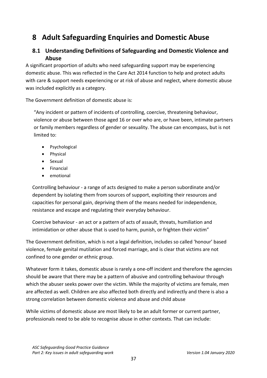# **8 Adult Safeguarding Enquiries and Domestic Abuse**

# **8.1 Understanding Definitions of Safeguarding and Domestic Violence and Abuse**

A significant proportion of adults who need safeguarding support may be experiencing domestic abuse. This was reflected in the Care Act 2014 function to help and protect adults with care & support needs experiencing or at risk of abuse and neglect, where domestic abuse was included explicitly as a category.

The Government definition of domestic abuse is:

"Any incident or pattern of incidents of controlling, coercive, threatening behaviour, violence or abuse between those aged 16 or over who are, or have been, intimate partners or family members regardless of gender or sexuality. The abuse can encompass, but is not limited to:

- Psychological
- Physical
- Sexual
- Financial
- emotional

Controlling behaviour - a range of acts designed to make a person subordinate and/or dependent by isolating them from sources of support, exploiting their resources and capacities for personal gain, depriving them of the means needed for independence, resistance and escape and regulating their everyday behaviour.

Coercive behaviour - an act or a pattern of acts of assault, threats, humiliation and intimidation or other abuse that is used to harm, punish, or frighten their victim"

The Government definition, which is not a legal definition, includes so called 'honour' based violence, female genital mutilation and forced marriage, and is clear that victims are not confined to one gender or ethnic group.

Whatever form it takes, domestic abuse is rarely a one-off incident and therefore the agencies should be aware that there may be a pattern of abusive and controlling behaviour through which the abuser seeks power over the victim. While the majority of victims are female, men are affected as well. Children are also affected both directly and indirectly and there is also a strong correlation between domestic violence and abuse and child abuse

While victims of domestic abuse are most likely to be an adult former or current partner, professionals need to be able to recognise abuse in other contexts. That can include: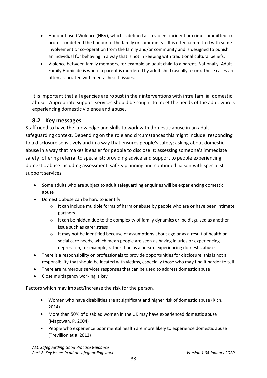- Honour-based Violence (HBV), which is defined as: a violent incident or crime committed to protect or defend the honour of the family or community." It is often committed with some involvement or co-operation from the family and/or community and is designed to punish an individual for behaving in a way that is not in keeping with traditional cultural beliefs.
- Violence between family members, for example an adult child to a parent. Nationally, Adult Family Homicide is where a parent is murdered by adult child (usually a son). These cases are often associated with mental health issues.

It is important that all agencies are robust in their interventions with intra familial domestic abuse. Appropriate support services should be sought to meet the needs of the adult who is experiencing domestic violence and abuse.

# **8.2 Key messages**

Staff need to have the knowledge and skills to work with domestic abuse in an adult safeguarding context. Depending on the role and circumstances this might include: responding to a disclosure sensitively and in a way that ensures people's safety; asking about domestic abuse in a way that makes it easier for people to disclose it; assessing someone's immediate safety; offering referral to specialist; providing advice and support to people experiencing domestic abuse including assessment, safety planning and continued liaison with specialist support services

- Some adults who are subject to adult safeguarding enquiries will be experiencing domestic abuse
- Domestic abuse can be hard to identify:
	- $\circ$  It can include multiple forms of harm or abuse by people who are or have been intimate partners
	- $\circ$  It can be hidden due to the complexity of family dynamics or be disguised as another issue such as carer stress
	- $\circ$  It may not be identified because of assumptions about age or as a result of health or social care needs, which mean people are seen as having injuries or experiencing depression, for example, rather than as a person experiencing domestic abuse
- There is a responsibility on professionals to provide opportunities for disclosure, this is not a responsibility that should be located with victims, especially those who may find it harder to tell
- There are numerous services responses that can be used to address domestic abuse
- Close multiagency working is key

Factors which may impact/increase the risk for the person.

- Women who have disabilities are at significant and higher risk of domestic abuse (Rich, 2014)
- More than 50% of disabled women in the UK may have experienced domestic abuse (Magowan, P. 2004)
- People who experience poor mental health are more likely to experience domestic abuse (Trevillion et al 2012)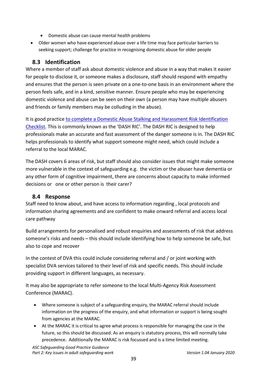- Domestic abuse can cause mental health problems
- Older women who have experienced abuse over a life time may face particular barriers to seeking support; challenge for practice in recognising domestic abuse for older people

# **8.3 Identification**

Where a member of staff ask about domestic violence and abuse in a way that makes it easier for people to disclose it, or someone makes a disclosure, staff should respond with empathy and ensures that the person is seen private on a one-to-one basis in an environment where the person feels safe, and in a kind, sensitive manner. Ensure people who may be experiencing domestic violence and abuse can be seen on their own (a person may have multiple abusers and friends or family members may be colluding in the abuse).

It is good practice [to complete a Domestic Abuse Stalking and Harassment Risk Identification](https://www.surreycc.gov.uk/social-care-and-health/care-and-support-for-adults/raising-concerns-and-staying-safe/domestic-abuse/domestic-abuse-information-for-professionals/multi-agency-risk-assessment-conference)  [Checklist.](https://www.surreycc.gov.uk/social-care-and-health/care-and-support-for-adults/raising-concerns-and-staying-safe/domestic-abuse/domestic-abuse-information-for-professionals/multi-agency-risk-assessment-conference) This is commonly known as the 'DASH RIC'. The DASH RIC is designed to help professionals make an accurate and fast assessment of the danger someone is in. The DASH RIC helps professionals to identify what support someone might need, which could include a referral to the local MARAC.

The DASH covers 6 areas of risk, but staff should also consider issues that might make someone more vulnerable in the context of safeguarding e.g. the victim or the abuser have dementia or any other form of cognitive impairment, there are concerns about capacity to make informed decisions or one or other person is their carer?

# **8.4 Response**

Staff need to know about, and have access to information regarding , local protocols and information sharing agreements and are confident to make onward referral and access local care pathway

Build arrangements for personalised and robust enquiries and assessments of risk that address someone's risks and needs – this should include identifying how to help someone be safe, but also to cope and recover

In the contest of DVA this could include considering referral and / or joint working with specialist DVA services tailored to their level of risk and specific needs. This should include providing support in different languages, as necessary.

It may also be appropriate to refer someone to the local Multi-Agency Risk Assessment Conference (MARAC).

- Where someone is subject of a safeguarding enquiry, the MARAC referral should include information on the progress of the enquiry, and what information or support is being sought from agencies at the MARAC.
- At the MARAC it is critical to agree what process is responsible for managing the case in the future, so this should be discussed. As an enquiry is statutory process, this will normally take precedence. Additionally the MARAC is risk focussed and is a time limited meeting.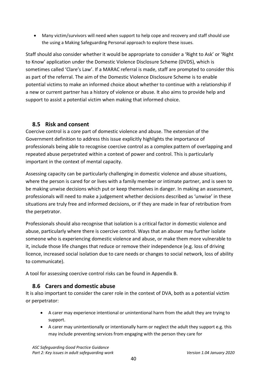• Many victim/survivors will need when support to help cope and recovery and staff should use the using a Making Safeguarding Personal approach to explore these issues.

Staff should also consider whether it would be appropriate to consider a 'Right to Ask' or 'Right to Know' application under the Domestic Violence Disclosure Scheme (DVDS), which is sometimes called 'Clare's Law'. If a MARAC referral is made, staff are prompted to consider this as part of the referral. The aim of the Domestic Violence Disclosure Scheme is to enable potential victims to make an informed choice about whether to continue with a relationship if a new or current partner has a history of violence or abuse. It also aims to provide help and support to assist a potential victim when making that informed choice.

# **8.5 Risk and consent**

Coercive control is a core part of domestic violence and abuse. The extension of the Government definition to address this issue explicitly highlights the importance of professionals being able to recognise coercive control as a complex pattern of overlapping and repeated abuse perpetrated within a context of power and control. This is particularly important in the context of mental capacity.

Assessing capacity can be particularly challenging in domestic violence and abuse situations, where the person is cared for or lives with a family member or intimate partner, and is seen to be making unwise decisions which put or keep themselves in danger. In making an assessment, professionals will need to make a judgement whether decisions described as 'unwise' in these situations are truly free and informed decisions, or if they are made in fear of retribution from the perpetrator.

Professionals should also recognise that isolation is a critical factor in domestic violence and abuse, particularly where there is coercive control. Ways that an abuser may further isolate someone who is experiencing domestic violence and abuse, or make them more vulnerable to it, include those life changes that reduce or remove their independence (e.g. loss of driving licence, increased social isolation due to care needs or changes to social network, loss of ability to communicate).

A tool for assessing coercive control risks can be found in Appendix B.

# **8.6 Carers and domestic abuse**

It is also important to consider the carer role in the context of DVA, both as a potential victim or perpetrator:

- A carer may experience intentional or unintentional harm from the adult they are trying to support.
- A carer may unintentionally or intentionally harm or neglect the adult they support e.g. this may include preventing services from engaging with the person they care for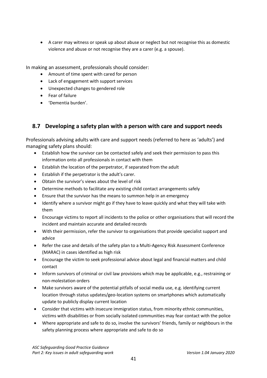• A carer may witness or speak up about abuse or neglect but not recognise this as domestic violence and abuse or not recognise they are a carer (e.g. a spouse).

In making an assessment, professionals should consider:

- Amount of time spent with cared for person
- Lack of engagement with support services
- Unexpected changes to gendered role
- Fear of failure
- 'Dementia burden'.

# **8.7 Developing a safety plan with a person with care and support needs**

Professionals advising adults with care and support needs (referred to here as 'adults') and managing safety plans should:

- Establish how the survivor can be contacted safely and seek their permission to pass this information onto all professionals in contact with them
- Establish the location of the perpetrator, if separated from the adult
- Establish if the perpetrator is the adult's carer.
- Obtain the survivor's views about the level of risk
- Determine methods to facilitate any existing child contact arrangements safely
- Ensure that the survivor has the means to summon help in an emergency
- Identify where a survivor might go if they have to leave quickly and what they will take with them
- Encourage victims to report all incidents to the police or other organisations that will record the incident and maintain accurate and detailed records
- With their permission, refer the survivor to organisations that provide specialist support and advice
- Refer the case and details of the safety plan to a Multi-Agency Risk Assessment Conference (MARAC) in cases identified as high risk
- Encourage the victim to seek professional advice about legal and financial matters and child contact
- Inform survivors of criminal or civil law provisions which may be applicable, e.g., restraining or non-molestation orders
- Make survivors aware of the potential pitfalls of social media use, e.g. identifying current location through status updates/geo-location systems on smartphones which automatically update to publicly display current location
- Consider that victims with insecure immigration status, from minority ethnic communities, victims with disabilities or from socially isolated communities may fear contact with the police
- Where appropriate and safe to do so, involve the survivors' friends, family or neighbours in the safety planning process where appropriate and safe to do so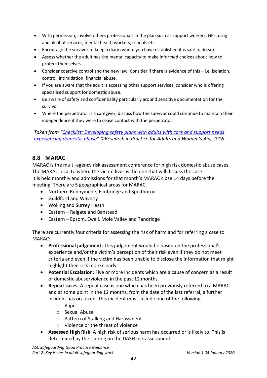- With permission, involve others professionals in the plan such as support workers, GPs, drug and alcohol services, mental health workers, schools etc.
- Encourage the survivor to keep a diary (where you have established it is safe to do so).
- Assess whether the adult has the mental capacity to make informed choices about how to protect themselves.
- Consider coercive control and the new law. Consider if there is evidence of this i.e. isolation, control, intimidation, financial abuse.
- If you are aware that the adult is accessing other support services, consider who is offering specialised support for domestic abuse.
- Be aware of safety and confidentiality particularly around sensitive documentation for the survivor.
- Where the perpetrator is a caregiver, discuss how the survivor could continue to maintain their independence if they were to cease contact with the perpetrator.

*Taken from ["Checklist: Developing safety plans with adults with care and support needs](https://coercivecontrol.ripfa.org.uk/wp-content/uploads/Case_Study_4_Tool_1_Checklist-Developing_safety_plans.pdf)  [experiencing domestic](https://coercivecontrol.ripfa.org.uk/wp-content/uploads/Case_Study_4_Tool_1_Checklist-Developing_safety_plans.pdf) abuse" ©Research in Practice for Adults and Women's Aid, 2016*

# **8.8 MARAC**

MARAC is the multi-agency risk assessment conference for high risk domestic abuse cases. The MARAC local to where the victim lives is the one that will discuss the case. It is held monthly and admissions for that month's MARAC close 14 days before the meeting. There are 5 geographical areas for MARAC.

- Northern Runnymede, Elmbridge and Spelthorne
- Guildford and Waverly
- Woking and Surrey Heath
- Eastern Reigate and Banstead
- Eastern Epsom, Ewell, Mole Valley and Tandridge

There are currently four criteria for assessing the risk of harm and for referring a case to MARAC:

- **Professional judgement:** This judgement would be based on the professional's experience and/or the victim's perception of their risk even if they do not meet criteria and even if the victim has been unable to disclose the information that might highlight their risk more clearly.
- **Potential Escalation**: Five or more incidents which are a cause of concern as a result of domestic abuse/violence in the past 12 months.
- **Repeat cases**: A repeat case is one which has been previously referred to a MARAC and at some point in the 12 months, from the date of the last referral, a further incident has occurred. This incident must include one of the following:
	- o Rape
	- o Sexual Abuse
	- o Pattern of Stalking and Harassment
	- o Violence or the threat of violence
- **Assessed High Risk**: A high risk of serious harm has occurred or is likely to. This is determined by the scoring on the DASH risk assessment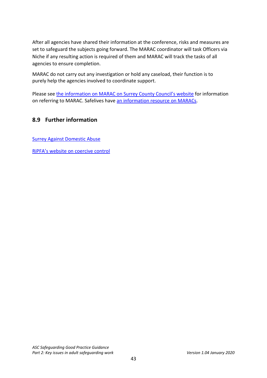After all agencies have shared their information at the conference, risks and measures are set to safeguard the subjects going forward. The MARAC coordinator will task Officers via Niche if any resulting action is required of them and MARAC will track the tasks of all agencies to ensure completion.

MARAC do not carry out any investigation or hold any caseload, their function is to purely help the agencies involved to coordinate support.

Please see [the information on MARAC on Surrey County Council's website](https://www.surreycc.gov.uk/social-care-and-health/care-and-support-for-adults/raising-concerns-and-staying-safe/domestic-abuse/domestic-abuse-information-for-professionals/multi-agency-risk-assessment-conference) for information on referring to MARAC. Safelives have [an information resource on MARACs.](http://www.safelives.org.uk/practice-support/resources-marac-meetings)

# **8.9 Further information**

[Surrey Against Domestic Abuse](https://www.healthysurrey.org.uk/your-health/domestic-abuse/professionals/surrey-against-domestic-abuse-strategy)

[RiPFA's website on coercive control](https://coercivecontrol.ripfa.org.uk/wp-content/uploads/Case_Study_4_Tool_1_Checklist-Developing_safety_plans.pdf)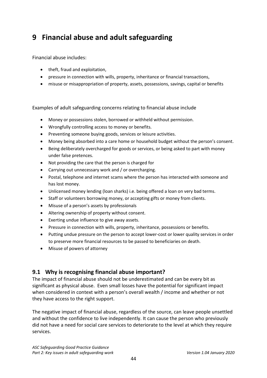# **9 Financial abuse and adult safeguarding**

Financial abuse includes:

- theft, fraud and exploitation,
- pressure in connection with wills, property, inheritance or financial transactions,
- misuse or misappropriation of property, assets, possessions, savings, capital or benefits

Examples of adult safeguarding concerns relating to financial abuse include

- Money or possessions stolen, borrowed or withheld without permission.
- Wrongfully controlling access to money or benefits.
- Preventing someone buying goods, services or leisure activities.
- Money being absorbed into a care home or household budget without the person's consent.
- Being deliberately overcharged for goods or services, or being asked to part with money under false pretences.
- Not providing the care that the person is charged for
- Carrying out unnecessary work and / or overcharging.
- Postal, telephone and internet scams where the person has interacted with someone and has lost money.
- Unlicensed money lending (loan sharks) i.e. being offered a loan on very bad terms.
- Staff or volunteers borrowing money, or accepting gifts or money from clients.
- Misuse of a person's assets by professionals
- Altering ownership of property without consent.
- Exerting undue influence to give away assets.
- Pressure in connection with wills, property, inheritance, possessions or benefits.
- Putting undue pressure on the person to accept lower-cost or lower quality services in order to preserve more financial resources to be passed to beneficiaries on death.
- Misuse of powers of attorney

# **9.1 Why is recognising financial abuse important?**

The impact of financial abuse should not be underestimated and can be every bit as significant as physical abuse. Even small losses have the potential for significant impact when considered in context with a person's overall wealth / income and whether or not they have access to the right support.

The negative impact of financial abuse, regardless of the source, can leave people unsettled and without the confidence to live independently. It can cause the person who previously did not have a need for social care services to deteriorate to the level at which they require services.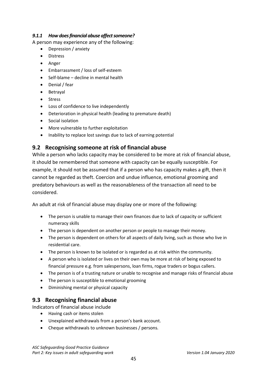## *9.1.1 How does financial abuse affect someone?*

A person may experience any of the following:

- Depression / anxiety
- Distress
- Anger
- Embarrassment / loss of self-esteem
- Self-blame decline in mental health
- Denial / fear
- Betrayal
- Stress
- Loss of confidence to live independently
- Deterioration in physical health (leading to premature death)
- Social isolation
- More vulnerable to further exploitation
- Inability to replace lost savings due to lack of earning potential

## **9.2 Recognising someone at risk of financial abuse**

While a person who lacks capacity may be considered to be more at risk of financial abuse, it should be remembered that someone with capacity can be equally susceptible. For example, it should not be assumed that if a person who has capacity makes a gift, then it cannot be regarded as theft. Coercion and undue influence, emotional grooming and predatory behaviours as well as the reasonableness of the transaction all need to be considered.

An adult at risk of financial abuse may display one or more of the following:

- The person is unable to manage their own finances due to lack of capacity or sufficient numeracy skills
- The person is dependent on another person or people to manage their money.
- The person is dependent on others for all aspects of daily living, such as those who live in residential care.
- The person is known to be isolated or is regarded as at risk within the community.
- A person who is isolated or lives on their own may be more at risk of being exposed to financial pressure e.g. from salespersons, loan firms, rogue traders or bogus callers.
- The person is of a trusting nature or unable to recognise and manage risks of financial abuse
- The person is susceptible to emotional grooming
- Diminishing mental or physical capacity

## **9.3 Recognising financial abuse**

Indicators of financial abuse include

- Having cash or items stolen
- Unexplained withdrawals from a person's bank account.
- Cheque withdrawals to unknown businesses / persons.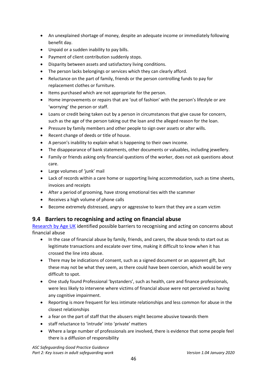- An unexplained shortage of money, despite an adequate income or immediately following benefit day.
- Unpaid or a sudden inability to pay bills.
- Payment of client contribution suddenly stops.
- Disparity between assets and satisfactory living conditions.
- The person lacks belongings or services which they can clearly afford.
- Reluctance on the part of family, friends or the person controlling funds to pay for replacement clothes or furniture.
- Items purchased which are not appropriate for the person.
- Home improvements or repairs that are 'out of fashion' with the person's lifestyle or are 'worrying' the person or staff.
- Loans or credit being taken out by a person in circumstances that give cause for concern, such as the age of the person taking out the loan and the alleged reason for the loan.
- Pressure by family members and other people to sign over assets or alter wills.
- Recent change of deeds or title of house.
- A person's inability to explain what is happening to their own income.
- The disappearance of bank statements, other documents or valuables, including jewellery.
- Family or friends asking only financial questions of the worker, does not ask questions about care.
- Large volumes of 'junk' mail
- Lack of records within a care home or supporting living accommodation, such as time sheets, invoices and receipts
- After a period of grooming, have strong emotional ties with the scammer
- Receives a high volume of phone calls
- Become extremely distressed, angry or aggressive to learn that they are a scam victim

## **9.4 Barriers to recognising and acting on financial abuse**

[Research by Age UK](https://www.ageuk.org.uk/globalassets/age-uk/documents/reports-and-publications/reports-and-briefings/money-matters/financial_abuse_evidence_review-nov_2015.pdf) identified possible barriers to recognising and acting on concerns about financial abuse

- In the case of financial abuse by family, friends, and carers, the abuse tends to start out as legitimate transactions and escalate over time, making it difficult to know when it has crossed the line into abuse.
- There may be indications of consent, such as a signed document or an apparent gift, but these may not be what they seem, as there could have been coercion, which would be very difficult to spot.
- One study found Professional 'bystanders', such as health, care and finance professionals, were less likely to intervene where victims of financial abuse were not perceived as having any cognitive impairment.
- Reporting is more frequent for less intimate relationships and less common for abuse in the closest relationships
- a fear on the part of staff that the abusers might become abusive towards them
- staff reluctance to 'intrude' into 'private' matters
- Where a large number of professionals are involved, there is evidence that some people feel there is a diffusion of responsibility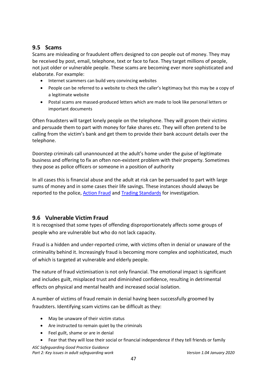# **9.5 Scams**

Scams are misleading or fraudulent offers designed to con people out of money. They may be received by post, email, telephone, text or face to face. They target millions of people, not just older or vulnerable people. These scams are becoming ever more sophisticated and elaborate. For example:

- Internet scammers can build very convincing websites
- People can be referred to a website to check the caller's legitimacy but this may be a copy of a legitimate website
- Postal scams are massed-produced letters which are made to look like personal letters or important documents

Often fraudsters will target lonely people on the telephone. They will groom their victims and persuade them to part with money for fake shares etc. They will often pretend to be calling from the victim's bank and get them to provide their bank account details over the telephone.

Doorstep criminals call unannounced at the adult's home under the guise of legitimate business and offering to fix an often non-existent problem with their property. Sometimes they pose as police officers or someone in a position of authority

In all cases this is financial abuse and the adult at risk can be persuaded to part with large sums of money and in some cases their life savings. These instances should always be reported to the police, **Action Fraud** and **Trading Standards** for investigation.

# **9.6 Vulnerable Victim Fraud**

It is recognised that some types of offending disproportionately affects some groups of people who are vulnerable but who do not lack capacity.

Fraud is a hidden and under-reported crime, with victims often in denial or unaware of the criminality behind it. Increasingly fraud is becoming more complex and sophisticated, much of which is targeted at vulnerable and elderly people.

The nature of fraud victimisation is not only financial. The emotional impact is significant and includes guilt, misplaced trust and diminished confidence, resulting in detrimental effects on physical and mental health and increased social isolation.

A number of victims of fraud remain in denial having been successfully groomed by fraudsters. Identifying scam victims can be difficult as they:

- May be unaware of their victim status
- Are instructed to remain quiet by the criminals
- Feel guilt, shame or are in denial
- Fear that they will lose their social or financial independence if they tell friends or family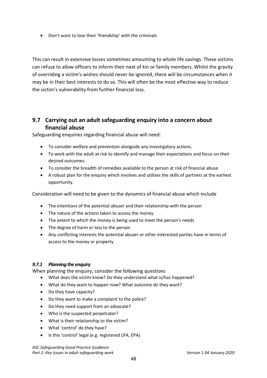• Don't want to lose their 'friendship' with the criminals

This can result in extensive losses sometimes amounting to whole life savings. These victims can refuse to allow officers to inform their next of kin or family members. Whilst the gravity of overriding a victim's wishes should never be ignored, there will be circumstances when it may be in their best interests to do so. This will often be the most effective way to reduce the victim's vulnerability from further financial loss.

# **9.7 Carrying out an adult safeguarding enquiry into a concern about financial abuse**

Safeguarding enquiries regarding financial abuse will need:

- To consider welfare and prevention alongside any investigatory actions.
- To work with the adult at risk to identify and manage their expectations and focus on their desired outcomes.
- To consider the breadth of remedies available to the person at risk of financial abuse
- A robust plan for the enquiry which involves and utilises the skills of partners at the earliest opportunity.

Consideration will need to be given to the dynamics of financial abuse which include

- The intentions of the potential abuser and their relationship with the person
- The nature of the actions taken to access the money
- The extent to which the money is being used to meet the person's needs
- The degree of harm or loss to the person
- Any conflicting interests the potential abuser or other interested parties have in terms of access to the money or property

## *9.7.1 Planning the enquiry*

When planning the enquiry, consider the following questions

- What does the victim know? Do they understand what is/has happened?
- What do they want to happen now? What outcome do they want?
- Do they have capacity?
- Do they want to make a complaint to the police?
- Do they need support from an advocate?
- Who is the suspected perpetrator?
- What is their relationship to the victim?
- What 'control' do they have?
- Is this 'control' legal (e.g. registered LPA, EPA)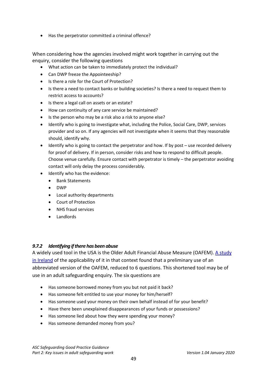• Has the perpetrator committed a criminal offence?

When considering how the agencies involved might work together in carrying out the enquiry, consider the following questions

- What action can be taken to immediately protect the individual?
- Can DWP freeze the Appointeeship?
- Is there a role for the Court of Protection?
- Is there a need to contact banks or building societies? Is there a need to request them to restrict access to accounts?
- Is there a legal call on assets or an estate?
- How can continuity of any care service be maintained?
- Is the person who may be a risk also a risk to anyone else?
- Identify who is going to investigate what, including the Police, Social Care, DWP, services provider and so on. If any agencies will not investigate when it seems that they reasonable should, identify why.
- Identify who is going to contact the perpetrator and how. If by post use recorded delivery for proof of delivery. If in person, consider risks and how to respond to difficult people. Choose venue carefully. Ensure contact with perpetrator is timely – the perpetrator avoiding contact will only delay the process considerably.
- Identify who has the evidence:
	- Bank Statements
	- DWP
	- Local authority departments
	- Court of Protection
	- NHS fraud services
	- Landlords

#### *9.7.2 Identifying if there has been abuse*

A widely used tool in the USA is the Older Adult Financial Abuse Measure (OAFEM). [A study](http://safeguardingcommittee.ie/wp-content/uploads/2017/10/NCPOP-Older-Adult-Financial-Exploitation-Measure-2014.pdf)  [in Ireland](http://safeguardingcommittee.ie/wp-content/uploads/2017/10/NCPOP-Older-Adult-Financial-Exploitation-Measure-2014.pdf) of the applicability of it in that context found that a preliminary use of an abbreviated version of the OAFEM, reduced to 6 questions. This shortened tool may be of use in an adult safeguarding enquiry. The six questions are

- Has someone borrowed money from you but not paid it back?
- Has someone felt entitled to use your money for him/herself?
- Has someone used your money on their own behalf instead of for your benefit?
- Have there been unexplained disappearances of your funds or possessions?
- Has someone lied about how they were spending your money?
- Has someone demanded money from you?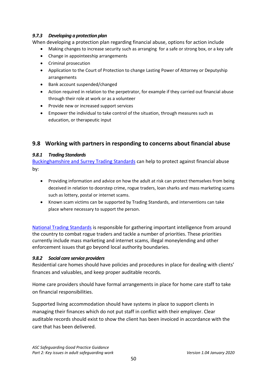## *9.7.3 Developing a protection plan*

When developing a protection plan regarding financial abuse, options for action include

- Making changes to increase security such as arranging for a safe or strong box, or a key safe
- Change in appointeeship arrangements
- Criminal prosecution
- Application to the Court of Protection to change Lasting Power of Attorney or Deputyship arrangements
- Bank account suspended/changed
- Action required in relation to the perpetrator, for example if they carried out financial abuse through their role at work or as a volunteer
- Provide new or increased support services
- Empower the individual to take control of the situation, through measures such as education, or therapeutic input

## **9.8 Working with partners in responding to concerns about financial abuse**

## *9.8.1 Trading Standards*

[Buckinghamshire and Surrey Trading Standards](https://www.surreycc.gov.uk/business-and-consumers/trading-standards) can help to protect against financial abuse by:

- Providing information and advice on how the adult at risk can protect themselves from being deceived in relation to doorstep crime, rogue traders, loan sharks and mass marketing scams such as lottery, postal or internet scams.
- Known scam victims can be supported by Trading Standards, and interventions can take place where necessary to support the person.

[National Trading Standards](http://www.nationaltradingstandards.uk/) is responsible for gathering important intelligence from around the country to combat rogue traders and tackle a number of priorities. These priorities currently include mass marketing and internet scams, illegal moneylending and other enforcement issues that go beyond local authority boundaries.

## *9.8.2 Social care service providers*

Residential care homes should have policies and procedures in place for dealing with clients' finances and valuables, and keep proper auditable records.

Home care providers should have formal arrangements in place for home care staff to take on financial responsibilities.

Supported living accommodation should have systems in place to support clients in managing their finances which do not put staff in conflict with their employer. Clear auditable records should exist to show the client has been invoiced in accordance with the care that has been delivered.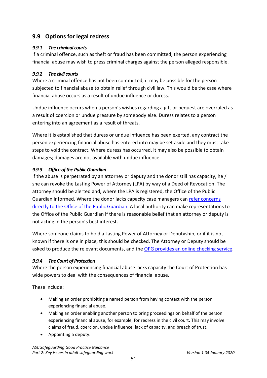# **9.9 Options for legal redress**

## *9.9.1 The criminal courts*

If a criminal offence, such as theft or fraud has been committed, the person experiencing financial abuse may wish to press criminal charges against the person alleged responsible.

## *9.9.2 The civil courts*

Where a criminal offence has not been committed, it may be possible for the person subjected to financial abuse to obtain relief through civil law. This would be the case where financial abuse occurs as a result of undue influence or duress.

Undue influence occurs when a person's wishes regarding a gift or bequest are overruled as a result of coercion or undue pressure by somebody else. Duress relates to a person entering into an agreement as a result of threats.

Where it is established that duress or undue influence has been exerted, any contract the person experiencing financial abuse has entered into may be set aside and they must take steps to void the contract. Where duress has occurred, it may also be possible to obtain damages; damages are not available with undue influence.

## *9.9.3 Office of the Public Guardian*

If the abuse is perpetrated by an attorney or deputy and the donor still has capacity, he / she can revoke the Lasting Power of Attorney (LPA) by way of a Deed of Revocation. The attorney should be alerted and, where the LPA is registered, the Office of the Public Guardian informed. Where the donor lacks capacity case managers can [refer concerns](https://www.gov.uk/report-concern-about-attorney-deputy)  directly to the [Office of the Public Guardian.](https://www.gov.uk/report-concern-about-attorney-deputy) A local authority can make representations to the Office of the Public Guardian if there is reasonable belief that an attorney or deputy is not acting in the person's best interest.

Where someone claims to hold a Lasting Power of Attorney or Deputyship, or if it is not known if there is one in place, this should be checked. The Attorney or Deputy should be asked to produce the relevant documents, and the [OPG provides an online checking service.](https://www.gov.uk/find-someones-attorney-or-deputy)

## *9.9.4 The Court of Protection*

Where the person experiencing financial abuse lacks capacity the Court of Protection has wide powers to deal with the consequences of financial abuse.

These include:

- Making an order prohibiting a named person from having contact with the person experiencing financial abuse.
- Making an order enabling another person to bring proceedings on behalf of the person experiencing financial abuse, for example, for redress in the civil court. This may involve claims of fraud, coercion, undue influence, lack of capacity, and breach of trust.
- Appointing a deputy.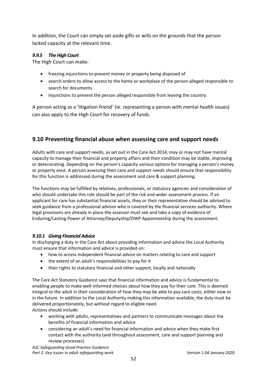In addition, the Court can simply set aside gifts or wills on the grounds that the person lacked capacity at the relevant time.

## *9.9.5 The High Court*

The High Court can make:

- freezing injunctions to prevent money or property being disposed of
- search orders to allow access to the home or workplace of the person alleged responsible to search for documents.
- Injunctions to prevent the person alleged responsible from leaving the country.

A person acting as a 'litigation friend' (ie. representing a person with mental health issues) can also apply to the High Court for recovery of funds.

## **9.10 Preventing financial abuse when assessing care and support needs**

Adults with care and support needs, as set out in the Care Act 2014, may or may not have mental capacity to manage their financial and property affairs and their condition may be stable, improving or deteriorating. Depending on the person's capacity various options for managing a person's money or property exist. A person assessing their care and support needs should ensure that responsibility for this function is addressed during the assessment and care & support planning.

The functions may be fulfilled by relatives, professionals, or statutory agencies and consideration of who should undertake this role should be part of the risk and wider assessment process. If an applicant for care has substantial financial assets, they or their representative should be advised to seek guidance from a professional advisor who is covered by the financial services authority. Where legal provisions are already in place the assessor must see and take a copy of evidence of Enduring/Lasting Power of Attorney/Deputyship/DWP Appointeeship during the assessment.

#### *9.10.1 Giving Financial Advice*

In discharging a duty in the Care Act about providing information and advice the Local Authority must ensure that information and advice is provided on:

- how to access independent financial advice on matters relating to care and support
- the extent of an adult's responsibilities to pay for it
- their rights to statutory financial and other support, locally and nationally

The Care Act Statutory Guidance says that financial information and advice is fundamental to enabling people to make well-informed choices about how they pay for their care. This is deemed integral to the adult in their consideration of how they may be able to pay care costs, either now or in the future. In addition to the Local Authority making this information available, the duty must be delivered proportionately, but without regard to eligible need. Actions should include:

- working with adults, representatives and partners to communicate messages about the benefits of financial information and advice
- considering an adult's need for financial information and advice when they make first contact with the authority (and throughout assessment, care and support planning and review processes)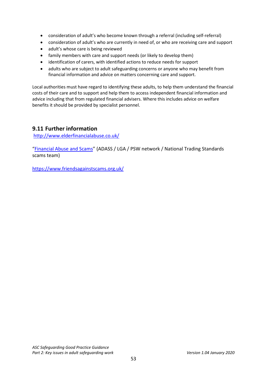- consideration of adult's who become known through a referral (including self-referral)
- consideration of adult's who are currently in need of, or who are receiving care and support
- adult's whose care is being reviewed
- family members with care and support needs (or likely to develop them)
- identification of carers, with identified actions to reduce needs for support
- adults who are subject to adult safeguarding concerns or anyone who may benefit from financial information and advice on matters concerning care and support.

Local authorities must have regard to identifying these adults, to help them understand the financial costs of their care and to support and help them to access independent financial information and advice including that from regulated financial advisers. Where this includes advice on welfare benefits it should be provided by specialist personnel.

# **9.11 Further information**

<http://www.elderfinancialabuse.co.uk/>

["Financial Abuse and Scams"](https://www.adass.org.uk/media/5799/top-tips-financial-abuse-and-scams.pdf) (ADASS / LGA / PSW network / National Trading Standards scams team)

<https://www.friendsagainstscams.org.uk/>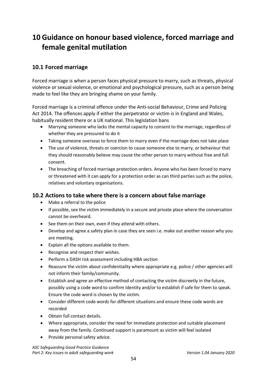# **10 Guidance on honour based violence, forced marriage and female genital mutilation**

# **10.1 Forced marriage**

Forced marriage is when a person faces physical pressure to marry, such as threats, physical violence or sexual violence, or emotional and psychological pressure, such as a person being made to feel like they are bringing shame on your family.

Forced marriage is a criminal offence under the Anti-social Behaviour, Crime and Policing Act 2014. The offences apply if either the perpetrator or victim is in England and Wales, habitually resident there or a UK national. This legislation bans

- Marrying someone who lacks the mental capacity to consent to the marriage, regardless of whether they are pressured to do it
- Taking someone overseas to force them to marry even if the marriage does not take place
- The use of violence, threats or coercion to cause someone else to marry, or behaviour that they should reasonably believe may cause the other person to marry without free and full consent.
- The breaching of forced marriage protection orders. Anyone who has been forced to marry or threatened with it can apply for a protection order as can third parties such as the police, relatives and voluntary organisations.

## **10.2 Actions to take where there is a concern about false marriage**

- Make a referral to the police
- If possible, see the victim immediately in a secure and private place where the conversation cannot be overheard.
- See them on their own, even if they attend with others.
- Develop and agree a safety plan in case they are seen i.e. make out another reason why you are meeting.
- Explain all the options available to them.
- Recognise and respect their wishes.
- Perform a DASH risk assessment including HBA section
- Reassure the victim about confidentiality where appropriate e.g. police / other agencies will not inform their family/community.
- Establish and agree an effective method of contacting the victim discreetly in the future, possibly using a code word to confirm identity and/or to establish if safe for them to speak. Ensure the code word is chosen by the victim.
- Consider different code words for different situations and ensure these code words are recorded
- Obtain full contact details.
- Where appropriate, consider the need for immediate protection and suitable placement away from the family. Continued support is paramount as victim will feel isolated
- Provide personal safety advice.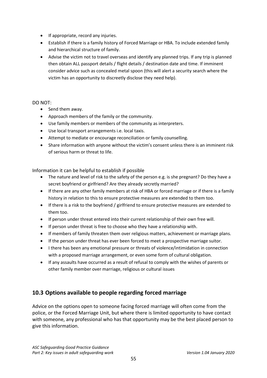- If appropriate, record any injuries.
- Establish if there is a family history of Forced Marriage or HBA. To include extended family and hierarchical structure of family.
- Advise the victim not to travel overseas and identify any planned trips. If any trip is planned then obtain ALL passport details / flight details / destination date and time. If imminent consider advice such as concealed metal spoon (this will alert a security search where the victim has an opportunity to discreetly disclose they need help).

#### DO NOT:

- Send them away.
- Approach members of the family or the community.
- Use family members or members of the community as interpreters.
- Use local transport arrangements i.e. local taxis.
- Attempt to mediate or encourage reconciliation or family counselling.
- Share information with anyone without the victim's consent unless there is an imminent risk of serious harm or threat to life.

Information it can be helpful to establish if possible

- The nature and level of risk to the safety of the person e.g. is she pregnant? Do they have a secret boyfriend or girlfriend? Are they already secretly married?
- If there are any other family members at risk of HBA or forced marriage or if there is a family history in relation to this to ensure protective measures are extended to them too.
- If there is a risk to the boyfriend / girlfriend to ensure protective measures are extended to them too.
- If person under threat entered into their current relationship of their own free will.
- If person under threat is free to choose who they have a relationship with.
- If members of family threaten them over religious matters, achievement or marriage plans.
- If the person under threat has ever been forced to meet a prospective marriage suitor.
- I there has been any emotional pressure or threats of violence/intimidation in connection with a proposed marriage arrangement, or even some form of cultural obligation.
- If any assaults have occurred as a result of refusal to comply with the wishes of parents or other family member over marriage, religious or cultural issues

# **10.3 Options available to people regarding forced marriage**

Advice on the options open to someone facing forced marriage will often come from the police, or the Forced Marriage Unit, but where there is limited opportunity to have contact with someone, any professional who has that opportunity may be the best placed person to give this information.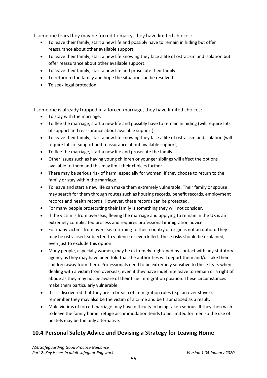If someone fears they may be forced to marry, they have limited choices:

- To leave their family, start a new life and possibly have to remain in hiding but offer reassurance about other available support.
- To leave their family, start a new life knowing they face a life of ostracism and isolation but offer reassurance about other available support.
- To leave their family, start a new life and prosecute their family.
- To return to the family and hope the situation can be resolved.
- To seek legal protection.

If someone is already trapped in a forced marriage, they have limited choices:

- To stay with the marriage.
- To flee the marriage, start a new life and possibly have to remain in hiding (will require lots of support and reassurance about available support).
- To leave their family, start a new life knowing they face a life of ostracism and isolation (will require lots of support and reassurance about available support).
- To flee the marriage, start a new life and prosecute the family.
- Other issues such as having young children or younger siblings will affect the options available to them and this may limit their choices further.
- There may be serious risk of harm, especially for women, if they choose to return to the family or stay within the marriage.
- To leave and start a new life can make them extremely vulnerable. Their family or spouse may search for them through routes such as housing records, benefit records, employment records and health records. However, these records can be protected.
- For many people prosecuting their family is something they will not consider.
- If the victim is from overseas, fleeing the marriage and applying to remain in the UK is an extremely complicated process and requires professional immigration advice.
- For many victims from overseas returning to their country of origin is not an option. They may be ostracised, subjected to violence or even killed. These risks should be explained, even just to exclude this option.
- Many people, especially women, may be extremely frightened by contact with any statutory agency as they may have been told that the authorities will deport them and/or take their children away from them. Professionals need to be extremely sensitive to these fears when dealing with a victim from overseas, even if they have indefinite leave to remain or a right of abode as they may not be aware of their true immigration position. These circumstances make them particularly vulnerable.
- If it is discovered that they are in breach of immigration rules (e.g. an over stayer), remember they may also be the victim of a crime and be traumatised as a result.
- Male victims of forced marriage may have difficulty in being taken serious. If they then wish to leave the family home, refuge accommodation tends to be limited for men so the use of hostels may be the only alternative.

# **10.4 Personal Safety Advice and Devising a Strategy for Leaving Home**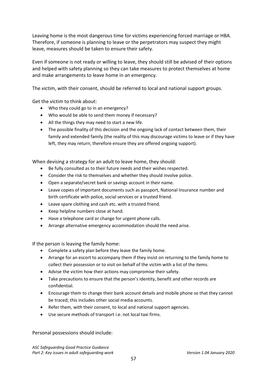Leaving home is the most dangerous time for victims experiencing forced marriage or HBA. Therefore, if someone is planning to leave or the perpetrators may suspect they might leave, measures should be taken to ensure their safety.

Even if someone is not ready or willing to leave, they should still be advised of their options and helped with safety planning so they can take measures to protect themselves at home and make arrangements to leave home in an emergency.

The victim, with their consent, should be referred to local and national support groups.

Get the victim to think about:

- Who they could go to in an emergency?
- Who would be able to send them money if necessary?
- All the things they may need to start a new life.
- The possible finality of this decision and the ongoing lack of contact between them, their family and extended family (the reality of this may discourage victims to leave or if they have left, they may return; therefore ensure they are offered ongoing support).

When devising a strategy for an adult to leave home, they should:

- Be fully consulted as to their future needs and their wishes respected.
- Consider the risk to themselves and whether they should involve police.
- Open a separate/secret bank or savings account in their name.
- Leave copies of important documents such as passport, National Insurance number and birth certificate with police, social services or a trusted friend.
- Leave spare clothing and cash etc. with a trusted friend.
- Keep helpline numbers close at hand.
- Have a telephone card or change for urgent phone calls.
- Arrange alternative emergency accommodation should the need arise.

If the person is leaving the family home:

- Complete a safety plan before they leave the family home.
- Arrange for an escort to accompany them if they insist on returning to the family home to collect their possession or to visit on behalf of the victim with a list of the items.
- Advise the victim how their actions may compromise their safety.
- Take precautions to ensure that the person's identity, benefit and other records are confidential.
- Encourage them to change their bank account details and mobile phone so that they cannot be traced; this includes other social media accounts.
- Refer them, with their consent, to local and national support agencies.
- Use secure methods of transport i.e. not local taxi firms.

Personal possessions should include: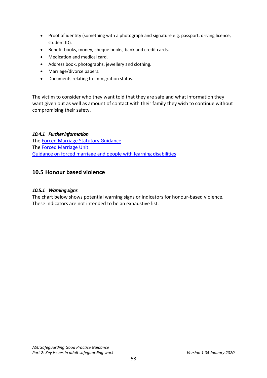- Proof of identity (something with a photograph and signature e.g. passport, driving licence, student ID).
- Benefit books, money, cheque books, bank and credit cards.
- Medication and medical card.
- Address book, photographs, jewellery and clothing.
- Marriage/divorce papers.
- Documents relating to immigration status.

The victim to consider who they want told that they are safe and what information they want given out as well as amount of contact with their family they wish to continue without compromising their safety.

#### *10.4.1 Further information*

The [Forced Marriage Statutory Guidance](https://assets.publishing.service.gov.uk/government/uploads/system/uploads/attachment_data/file/322310/HMG_Statutory_Guidance_publication_180614_Final.pdf) The [Forced Marriage Unit](https://www.gov.uk/stop-forced-marriage) [Guidance on forced marriage and people with learning disabilities](https://www.gov.uk/government/news/forced-marriage-and-learning-disability-new-guidelines-to-help-prevent-abuse)

## **10.5 Honour based violence**

#### *10.5.1 Warning signs*

The chart below shows potential warning signs or indicators for honour-based violence. These indicators are not intended to be an exhaustive list.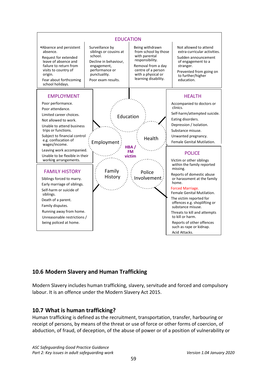

# **10.6 Modern Slavery and Human Trafficking**

Modern Slavery includes human trafficking, slavery, servitude and forced and compulsory labour. It is an offence under the Modern Slavery Act 2015.

# **10.7 What is human trafficking?**

Human trafficking is defined as the recruitment, transportation, transfer, harbouring or receipt of persons, by means of the threat or use of force or other forms of coercion, of abduction, of fraud, of deception, of the abuse of power or of a position of vulnerability or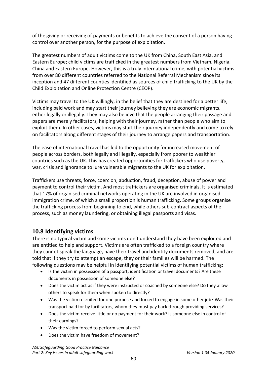of the giving or receiving of payments or benefits to achieve the consent of a person having control over another person, for the purpose of exploitation.

The greatest numbers of adult victims come to the UK from China, South East Asia, and Eastern Europe; child victims are trafficked in the greatest numbers from Vietnam, Nigeria, China and Eastern Europe. However, this is a truly international crime, with potential victims from over 80 different countries referred to the National Referral Mechanism since its inception and 47 different counties identified as sources of child trafficking to the UK by the Child Exploitation and Online Protection Centre (CEOP).

Victims may travel to the UK willingly, in the belief that they are destined for a better life, including paid work and may start their journey believing they are economic migrants, either legally or illegally. They may also believe that the people arranging their passage and papers are merely facilitators, helping with their journey, rather than people who aim to exploit them. In other cases, victims may start their journey independently and come to rely on facilitators along different stages of their journey to arrange papers and transportation.

The ease of international travel has led to the opportunity for increased movement of people across borders, both legally and illegally, especially from poorer to wealthier countries such as the UK. This has created opportunities for traffickers who use poverty, war, crisis and ignorance to lure vulnerable migrants to the UK for exploitation.

Traffickers use threats, force, coercion, abduction, fraud, deception, abuse of power and payment to control their victim. And most traffickers are organised criminals. It is estimated that 17% of organised criminal networks operating in the UK are involved in organised immigration crime, of which a small proportion is human trafficking. Some groups organise the trafficking process from beginning to end, while others sub-contract aspects of the process, such as money laundering, or obtaining illegal passports and visas.

## **10.8 Identifying victims**

There is no typical victim and some victims don't understand they have been exploited and are entitled to help and support. Victims are often trafficked to a foreign country where they cannot speak the language, have their travel and identity documents removed, and are told that if they try to attempt an escape, they or their families will be harmed. The following questions may be helpful in identifying potential victims of human trafficking:

- Is the victim in possession of a passport, identification or travel documents? Are these documents in possession of someone else?
- Does the victim act as if they were instructed or coached by someone else? Do they allow others to speak for them when spoken to directly?
- Was the victim recruited for one purpose and forced to engage in some other job? Was their transport paid for by facilitators, whom they must pay back through providing services?
- Does the victim receive little or no payment for their work? Is someone else in control of their earnings?
- Was the victim forced to perform sexual acts?
- Does the victim have freedom of movement?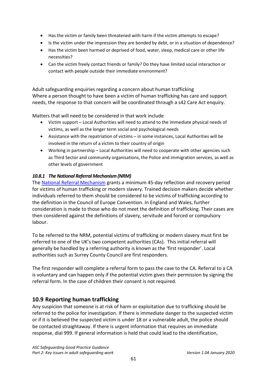- Has the victim or family been threatened with harm if the victim attempts to escape?
- Is the victim under the impression they are bonded by debt, or in a situation of dependence?
- Has the victim been harmed or deprived of food, water, sleep, medical care or other life necessities?
- Can the victim freely contact friends or family? Do they have limited social interaction or contact with people outside their immediate environment?

Adult safeguarding enquiries regarding a concern about human trafficking Where a person thought to have been a victim of human trafficking has care and support needs, the response to that concern will be coordinated through a s42 Care Act enquiry.

Matters that will need to be considered in that work include

- Victim support Local Authorities will need to attend to the immediate physical needs of victims, as well as the longer term social and psychological needs
- Assistance with the repatriation of victims in some instances, Local Authorities will be involved in the return of a victim to their country of origin
- Working in partnership Local Authorities will need to cooperate with other agencies such as Third Sector and community organisations, the Police and immigration services, as well as other levels of government

## *10.8.1 The National Referral Mechanism (NRM)*

The [National Referral Mechanism](http://www.nationalcrimeagency.gov.uk/about-us/what-we-do/specialist-capabilities/uk-human-trafficking-centre/national-referral-mechanism) grants a minimum 45-day reflection and recovery period for victims of human trafficking or modern slavery. Trained decision makers decide whether individuals referred to them should be considered to be victims of trafficking according to the definition in the Council of Europe Convention. In England and Wales, further consideration is made to those who do not meet the definition of trafficking. Their cases are then considered against the definitions of slavery, servitude and forced or compulsory labour.

To be referred to the NRM, potential victims of trafficking or modern slavery must first be referred to one of the UK's two competent authorities (CAs). This initial referral will generally be handled by a referring authority is known as the 'first responder'. Local authorities such as Surrey County Council are first responders.

The first responder will complete a referral form to pass the case to the CA. Referral to a CA is voluntary and can happen only if the potential victim gives their permission by signing the referral form. In the case of children their consent is not required.

# **10.9 Reporting human trafficking**

Any suspicion that someone is at risk of harm or exploitation due to trafficking should be referred to the police for investigation. If there is immediate danger to the suspected victim or if it is believed the suspected victim is under 18 or a vulnerable adult, the police should be contacted straightaway. If there is urgent information that requires an immediate response, dial 999. If general information is held that could lead to the identification,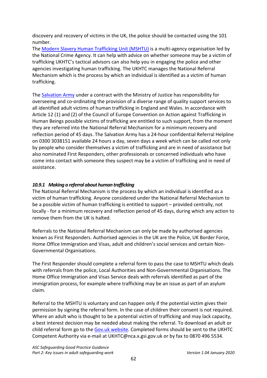discovery and recovery of victims in the UK, the police should be contacted using the 101 number.

The [Modern Slavery Human Trafficking Unit \(MSHTU\)](http://www.nationalcrimeagency.gov.uk/about-us/what-we-do/specialist-capabilities/uk-human-trafficking-centre/national-referral-mechanism) is a multi-agency organisation led by the National Crime Agency. It can help with advice on whether someone may be a victim of trafficking UKHTC's tactical advisors can also help you in engaging the police and other agencies investigating human trafficking. The UKHTC manages the National Referral Mechanism which is the process by which an individual is identified as a victim of human trafficking.

The [Salvation Army](https://www.salvationarmy.org.uk/modern-slavery) under a contract with the Ministry of Justice has responsibility for overseeing and co-ordinating the provision of a diverse range of quality support services to all identified adult victims of human trafficking in England and Wales. In accordance with Article 12 (1) and (2) of the Council of Europe Convention on Action against Trafficking in Human Beings possible victims of trafficking are entitled to such support, from the moment they are referred into the National Referral Mechanism for a minimum recovery and reflection period of 45 days. The Salvation Army has a 24-hour confidential Referral Helpline on 0300 3038151 available 24 hours a day, seven days a week which can be called not only by people who consider themselves a victim of trafficking and are in need of assistance but also nominated First Responders, other professionals or concerned individuals who have come into contact with someone they suspect may be a victim of trafficking and in need of assistance.

## *10.9.1 Making a referral about human trafficking*

The National Referral Mechanism is the process by which an individual is identified as a victim of human trafficking. Anyone considered under the National Referral Mechanism to be a possible victim of human trafficking is entitled to support – provided centrally, not locally - for a minimum recovery and reflection period of 45 days, during which any action to remove them from the UK is halted.

Referrals to the National Referral Mechanism can only be made by authorised agencies known as First Responders. Authorised agencies in the UK are the Police, UK Border Force, Home Office Immigration and Visas, adult and children's social services and certain Non-Governmental Organisations.

The First Responder should complete a referral form to pass the case to MSHTU which deals with referrals from the police, Local Authorities and Non-Governmental Organisations. The Home Office Immigration and Visas Service deals with referrals identified as part of the immigration process, for example where trafficking may be an issue as part of an asylum claim.

Referral to the MSHTU is voluntary and can happen only if the potential victim gives their permission by signing the referral form. In the case of children their consent is not required. Where an adult who is thought to be a potential victim of trafficking and may lack capacity, a best interest decision may be needed about making the referral. To download an adult or child referral form go to the [Gov.uk website.](https://www.gov.uk/government/publications/human-trafficking-victims-referral-and-assessment-forms) Completed forms should be sent to the UKHTC Competent Authority via e-mail at UKHTC@nca.x.gsi.gov.uk or by fax to 0870 496 5534.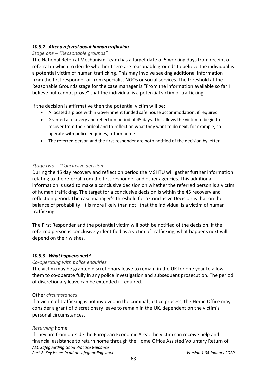## *10.9.2 After a referral about human trafficking*

## *Stage one – "Reasonable grounds"*

The National Referral Mechanism Team has a target date of 5 working days from receipt of referral in which to decide whether there are reasonable grounds to believe the individual is a potential victim of human trafficking. This may involve seeking additional information from the first responder or from specialist NGOs or social services. The threshold at the Reasonable Grounds stage for the case manager is "From the information available so far I believe but cannot prove" that the individual is a potential victim of trafficking.

If the decision is affirmative then the potential victim will be:

- Allocated a place within Government funded safe house accommodation, if required
- Granted a recovery and reflection period of 45 days. This allows the victim to begin to recover from their ordeal and to reflect on what they want to do next, for example, cooperate with police enquiries, return home
- The referred person and the first responder are both notified of the decision by letter.

## *Stage two – "Conclusive decision"*

During the 45 day recovery and reflection period the MSHTU will gather further information relating to the referral from the first responder and other agencies. This additional information is used to make a conclusive decision on whether the referred person is a victim of human trafficking. The target for a conclusive decision is within the 45 recovery and reflection period. The case manager's threshold for a Conclusive Decision is that on the balance of probability "it is more likely than not" that the individual is a victim of human trafficking.

The First Responder and the potential victim will both be notified of the decision. If the referred person is conclusively identified as a victim of trafficking, what happens next will depend on their wishes.

## *10.9.3 What happens next?*

## *Co-operating with police enquiries*

The victim may be granted discretionary leave to remain in the UK for one year to allow them to co-operate fully in any police investigation and subsequent prosecution. The period of discretionary leave can be extended if required.

#### Other *circumstances*

If a victim of trafficking is not involved in the criminal justice process, the Home Office may consider a grant of discretionary leave to remain in the UK, dependent on the victim's personal circumstances.

## *Returning* home

*ASC Safeguarding Good Practice Guidance Part 2: Key issues in adult safeguarding work Version 1.04 January 2020* If they are from outside the European Economic Area, the victim can receive help and financial assistance to return home through the Home Office Assisted Voluntary Return of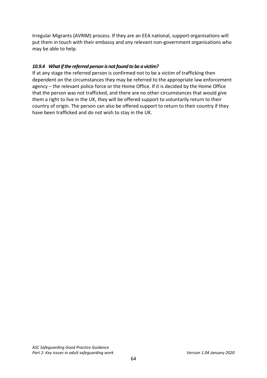Irregular Migrants (AVRIM) process. If they are an EEA national, support organisations will put them in touch with their embassy and any relevant non-government organisations who may be able to help.

## *10.9.4 What if the referred person is not found to be a victim?*

If at any stage the referred person is confirmed not to be a victim of trafficking then dependent on the circumstances they may be referred to the appropriate law enforcement agency – the relevant police force or the Home Office. If it is decided by the Home Office that the person was not trafficked, and there are no other circumstances that would give them a right to live in the UK, they will be offered support to voluntarily return to their country of origin. The person can also be offered support to return to their country if they have been trafficked and do not wish to stay in the UK.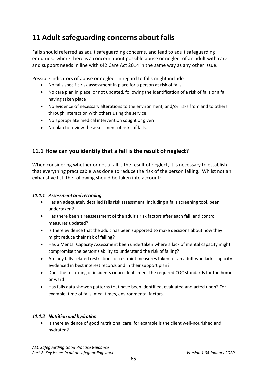# **11 Adult safeguarding concerns about falls**

Falls should referred as adult safeguarding concerns, and lead to adult safeguarding enquiries, where there is a concern about possible abuse or neglect of an adult with care and support needs in line with s42 Care Act 2014 in the same way as any other issue.

Possible indicators of abuse or neglect in regard to falls might include

- No falls specific risk assessment in place for a person at risk of falls
- No care plan in place, or not updated, following the identification of a risk of falls or a fall having taken place
- No evidence of necessary alterations to the environment, and/or risks from and to others through interaction with others using the service.
- No appropriate medical intervention sought or given
- No plan to review the assessment of risks of falls.

# **11.1 How can you identify that a fall is the result of neglect?**

When considering whether or not a fall is the result of neglect, it is necessary to establish that everything practicable was done to reduce the risk of the person falling. Whilst not an exhaustive list, the following should be taken into account:

## *11.1.1 Assessment and recording*

- Has an adequately detailed falls risk assessment, including a falls screening tool, been undertaken?
- Has there been a reassessment of the adult's risk factors after each fall, and control measures updated?
- Is there evidence that the adult has been supported to make decisions about how they might reduce their risk of falling?
- Has a Mental Capacity Assessment been undertaken where a lack of mental capacity might compromise the person's ability to understand the risk of falling?
- Are any falls-related restrictions or restraint measures taken for an adult who lacks capacity evidenced in best interest records and in their support plan?
- Does the recording of incidents or accidents meet the required CQC standards for the home or ward?
- Has falls data showen patterns that have been identified, evaluated and acted upon? For example, time of falls, meal times, environmental factors.

## *11.1.2 Nutrition and hydration*

• Is there evidence of good nutritional care, for example is the client well-nourished and hydrated?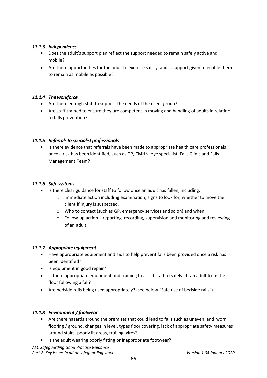#### *11.1.3 Independence*

- Does the adult's support plan reflect the support needed to remain safely active and mobile?
- Are there opportunities for the adult to exercise safely, and is support given to enable them to remain as mobile as possible?

### *11.1.4 The workforce*

- Are there enough staff to support the needs of the client group?
- Are staff trained to ensure they are competent in moving and handling of adults in relation to falls prevention?

#### *11.1.5 Referrals to specialist professionals*

• Is there evidence that referrals have been made to appropriate health care professionals once a risk has been identified, such as GP, CMHN, eye specialist, Falls Clinic and Falls Management Team?

#### *11.1.6 Safe systems*

- Is there clear guidance for staff to follow once an adult has fallen, including:
	- o Immediate action including examination, signs to look for, whether to move the client if injury is suspected.
	- o Who to contact (such as GP, emergency services and so on) and when.
	- o Follow-up action reporting, recording, supervision and monitoring and reviewing of an adult.

#### *11.1.7 Appropriate equipment*

- Have appropriate equipment and aids to help prevent falls been provided once a risk has been identified?
- Is equipment in good repair?
- Is there appropriate equipment and training to assist staff to safely lift an adult from the floor following a fall?
- Are bedside rails being used appropriately? (see below "Safe use of bedside rails")

#### *11.1.8 Environment / footwear*

- Are there hazards around the premises that could lead to falls such as uneven, and worn flooring / ground, changes in level, types floor covering, lack of appropriate safety measures around stairs, poorly lit areas, trailing wires?
- Is the adult wearing poorly fitting or inappropriate footwear?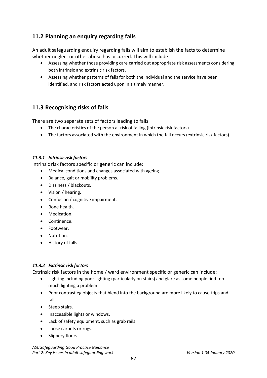# **11.2 Planning an enquiry regarding falls**

An adult safeguarding enquiry regarding falls will aim to establish the facts to determine whether neglect or other abuse has occurred. This will include:

- Assessing whether those providing care carried out appropriate risk assessments considering both intrinsic and extrinsic risk factors.
- Assessing whether patterns of falls for both the individual and the service have been identified, and risk factors acted upon in a timely manner.

# **11.3 Recognising risks of falls**

There are two separate sets of factors leading to falls:

- The characteristics of the person at risk of falling (intrinsic risk factors).
- The factors associated with the environment in which the fall occurs (extrinsic risk factors).

## *11.3.1 Intrinsic risk factors*

Intrinsic risk factors specific or generic can include:

- Medical conditions and changes associated with ageing.
- Balance, gait or mobility problems.
- Dizziness / blackouts.
- Vision / hearing.
- Confusion / cognitive impairment.
- Bone health.
- Medication.
- Continence.
- Footwear.
- Nutrition.
- History of falls.

## *11.3.2 Extrinsic risk factors*

Extrinsic risk factors in the home / ward environment specific or generic can include:

- Lighting including poor lighting (particularly on stairs) and glare as some people find too much lighting a problem.
- Poor contrast eg objects that blend into the background are more likely to cause trips and falls.
- Steep stairs.
- Inaccessible lights or windows.
- Lack of safety equipment, such as grab rails.
- Loose carpets or rugs.
- Slippery floors.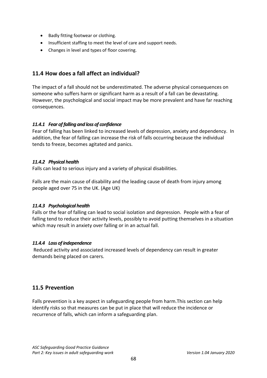- Badly fitting footwear or clothing.
- Insufficient staffing to meet the level of care and support needs.
- Changes in level and types of floor covering.

# **11.4 How does a fall affect an individual?**

The impact of a fall should not be underestimated. The adverse physical consequences on someone who suffers harm or significant harm as a result of a fall can be devastating. However, the psychological and social impact may be more prevalent and have far reaching consequences.

## *11.4.1 Fear of falling and loss of confidence*

Fear of falling has been linked to increased levels of depression, anxiety and dependency. In addition, the fear of falling can increase the risk of falls occurring because the individual tends to freeze, becomes agitated and panics.

## *11.4.2 Physical health*

Falls can lead to serious injury and a variety of physical disabilities.

Falls are the main cause of disability and the leading cause of death from injury among people aged over 75 in the UK. (Age UK)

## *11.4.3 Psychological health*

Falls or the fear of falling can lead to social isolation and depression. People with a fear of falling tend to reduce their activity levels, possibly to avoid putting themselves in a situation which may result in anxiety over falling or in an actual fall.

## *11.4.4 Loss of independence*

Reduced activity and associated increased levels of dependency can result in greater demands being placed on carers.

# **11.5 Prevention**

Falls prevention is a key aspect in safeguarding people from harm.This section can help identify risks so that measures can be put in place that will reduce the incidence or recurrence of falls, which can inform a safeguarding plan.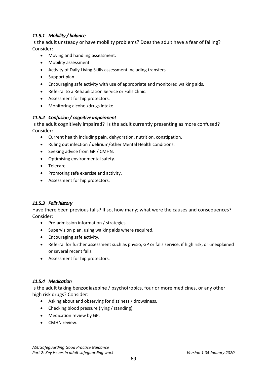## *11.5.1 Mobility / balance*

Is the adult unsteady or have mobility problems? Does the adult have a fear of falling? Consider:

- Moving and handling assessment.
- Mobility assessment.
- Activity of Daily Living Skills assessment including transfers
- Support plan.
- Encouraging safe activity with use of appropriate and monitored walking aids.
- Referral to a Rehabilitation Service or Falls Clinic.
- Assessment for hip protectors.
- Monitoring alcohol/drugs intake.

#### *11.5.2 Confusion / cognitive impairment*

Is the adult cognitively impaired? Is the adult currently presenting as more confused? Consider:

- Current health including pain, dehydration, nutrition, constipation.
- Ruling out infection / delirium/other Mental Health conditions.
- Seeking advice from GP / CMHN.
- Optimising environmental safety.
- Telecare.
- Promoting safe exercise and activity.
- Assessment for hip protectors.

#### *11.5.3 Falls history*

Have there been previous falls? If so, how many; what were the causes and consequences? Consider:

- Pre-admission information / strategies.
- Supervision plan, using walking aids where required.
- Encouraging safe activity.
- Referral for further assessment such as physio, GP or falls service, if high risk, or unexplained or several recent falls.
- Assessment for hip protectors.

#### *11.5.4 Medication*

Is the adult taking benzodiazepine / psychotropics, four or more medicines, or any other high risk drugs? Consider:

- Asking about and observing for dizziness / drowsiness.
- Checking blood pressure (lying / standing).
- Medication review by GP.
- CMHN review.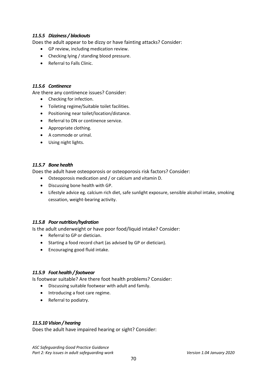## *11.5.5 Dizziness / blackouts*

Does the adult appear to be dizzy or have fainting attacks? Consider:

- GP review, including medication review.
- Checking lying / standing blood pressure.
- Referral to Falls Clinic.

#### *11.5.6 Continence*

Are there any continence issues? Consider:

- Checking for infection.
- Toileting regime/Suitable toilet facilities.
- Positioning near toilet/location/distance.
- Referral to DN or continence service.
- Appropriate clothing.
- A commode or urinal.
- Using night lights.

#### *11.5.7 Bone health*

Does the adult have osteoporosis or osteoporosis risk factors? Consider:

- Osteoporosis medication and / or calcium and vitamin D.
- Discussing bone health with GP.
- Lifestyle advice eg. calcium rich diet, safe sunlight exposure, sensible alcohol intake, smoking cessation, weight-bearing activity.

#### *11.5.8 Poor nutrition/hydration*

Is the adult underweight or have poor food/liquid intake? Consider:

- Referral to GP or dietician.
- Starting a food record chart (as advised by GP or dietician).
- Encouraging good fluid intake.

## *11.5.9 Foot health / footwear*

Is footwear suitable? Are there foot health problems? Consider:

- Discussing suitable footwear with adult and family.
- Introducing a foot care regime.
- Referral to podiatry.

#### *11.5.10 Vision / hearing*

Does the adult have impaired hearing or sight? Consider: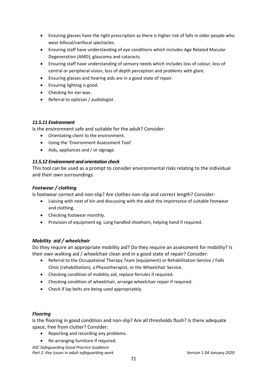- Ensuring glasses have the right prescription as there is higher risk of falls in older people who wear bifocal/varifocal spectacles.
- Ensuring staff have understanding of eye conditions which includes Age Related Macular Degeneration (AMD), glaucoma and cataracts.
- Ensuring staff have understanding of sensory needs which includes loss of colour, loss of central or peripheral vision, loss of depth perception and problems with glare.
- Ensuring glasses and hearing aids are in a good state of repair.
- Ensuring lighting is good.
- Checking for ear wax.
- Referral to optician / audiologist.

#### *11.5.11 Environment*

Is the environment safe and suitable for the adult? Consider:

- Orientating client to the environment.
- Using the 'Environment Assessment Tool'.
- Aids, appliances and / or signage.

#### *11.5.12 Environment and orientation check*

This tool can be used as a prompt to consider environmental risks relating to the individual and their own surroundings.

#### *Footwear / clothing*

Is footwear correct and non-slip? Are clothes non-slip and correct length? Consider:

- Liaising with next of kin and discussing with the adult the importance of suitable footwear and clothing.
- Checking footwear monthly.
- Provision of equipment eg. Long handled shoehorn, helping hand if required.

## *Mobility aid / wheelchair*

Do they require an appropriate mobility aid? Do they require an assessment for mobility? Is their own walking aid / wheelchair clean and in a good state of repair? Consider:

- Referral to the Occupational Therapy Team (equipment) or Rehabilitation Service / Falls Clinic (rehabilitation), a Physiotherapist, or the Wheelchair Service.
- Checking condition of mobility aid, replace ferrules if required.
- Checking condition of wheelchair, arrange wheelchair repair if required.
- Check if lap belts are being used appropriately.

#### *Flooring*

Is the flooring in good condition and non-slip? Are all thresholds flush? Is there adequate space, free from clutter? Consider:

- Reporting and recording any problems.
- Re-arranging furniture if required.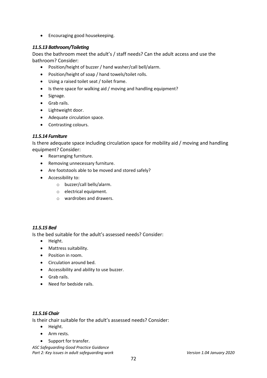• Encouraging good housekeeping.

## *11.5.13 Bathroom/Toileting*

Does the bathroom meet the adult's / staff needs? Can the adult access and use the bathroom? Consider:

- Position/height of buzzer / hand washer/call bell/alarm.
- Position/height of soap / hand towels/toilet rolls.
- Using a raised toilet seat / toilet frame.
- Is there space for walking aid / moving and handling equipment?
- Signage.
- Grab rails.
- Lightweight door.
- Adequate circulation space.
- Contrasting colours.

#### *11.5.14 Furniture*

Is there adequate space including circulation space for mobility aid / moving and handling equipment? Consider:

- Rearranging furniture.
- Removing unnecessary furniture.
- Are footstools able to be moved and stored safely?
- Accessibility to:
	- o buzzer/call bells/alarm.
	- o electrical equipment.
	- o wardrobes and drawers.

#### *11.5.15 Bed*

Is the bed suitable for the adult's assessed needs? Consider:

- Height.
- Mattress suitability.
- Position in room.
- Circulation around bed.
- Accessibility and ability to use buzzer.
- Grab rails.
- Need for bedside rails.

#### *11.5.16 Chair*

Is their chair suitable for the adult's assessed needs? Consider:

- Height.
- Arm rests.
- Support for transfer.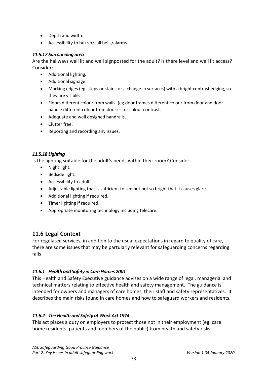- Depth and width.
- Accessibility to buzzer/call bells/alarms.

#### *11.5.17 Surrounding area*

Are the hallways well lit and well signposted for the adult? Is there level and well lit access? Consider:

- Additional lighting.
- Additional signage.
- Marking edges (eg. steps or stairs, or a change in surfaces) with a bright contrast edging, so they are visible.
- Floors different colour from walls. (eg.door frames different colour from door and door handle different colour from door) – for colour contrast.
- Adequate and well designed handrails.
- Clutter free.
- Reporting and recording any issues.

### *11.5.18 Lighting*

Is the lighting suitable for the adult's needs within their room? Consider:

- Night light.
- Bedside light.
- Accessibility to adult.
- Adjustable lighting that is sufficient to see but not so bright that it causes glare.
- Additional lighting if required.
- Timer lighting if required.
- Appropriate monitoring technology including telecare.

# **11.6 Legal Context**

For regulated services, in addition to the usual expectations in regard to quality of care, there are some issues that may be partularly relevant for safeguarding concerns regarding falls

## *11.6.1 Health and Safety in Care Homes 2001*

This Health and Safety Executive guidance advises on a wide range of legal, managerial and technical matters relating to effective health and safety management. The guidance is intended for owners and managers of care homes, their staff and safety representatives. It describes the main risks found in care homes and how to safeguard workers and residents.

## *11.6.2 The Health and Safety at Work Act 1974*

This act places a duty on employers to protect those not in their employment (eg. care home residents, patients and members of the public) from health and safety risks.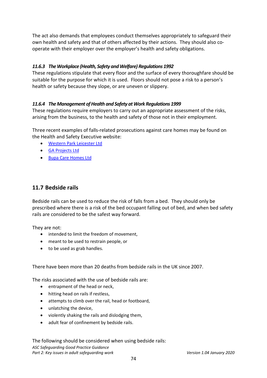The act also demands that employees conduct themselves appropriately to safeguard their own health and safety and that of others affected by their actions. They should also cooperate with their employer over the employer's health and safety obligations.

### *11.6.3 The Workplace (Health, Safety and Welfare) Regulations 1992*

These regulations stipulate that every floor and the surface of every thoroughfare should be suitable for the purpose for which it is used. Floors should not pose a risk to a person's health or safety because they slope, or are uneven or slippery.

### *11.6.4 The Management of Health and Safety at Work Regulations 1999*

These regulations require employers to carry out an appropriate assessment of the risks, arising from the business, to the health and safety of those not in their employment.

Three recent examples of falls-related prosecutions against care homes may be found on the Health and Safety Executive website:

- [Western Park Leicester Ltd](http://press.hse.gov.uk/2015/care-home-owner-in-court-over-death-of-vulnerable-resident/)
- [GA Projects Ltd](http://press.hse.gov.uk/2015/care-home-owner-fined-following-death-of-resident/)
- [Bupa Care Homes Ltd](http://press.hse.gov.uk/2016/bupa-care-homes-fined-400000-over-bedrail-failures/?ebul=hsegen&cr=10/06-jun-16)

# **11.7 Bedside rails**

Bedside rails can be used to reduce the risk of falls from a bed. They should only be prescribed where there is a risk of the bed occupant falling out of bed, and when bed safety rails are considered to be the safest way forward.

They are not:

- intended to limit the freedom of movement,
- meant to be used to restrain people, or
- to be used as grab handles.

There have been more than 20 deaths from bedside rails in the UK since 2007.

The risks associated with the use of bedside rails are:

- entrapment of the head or neck,
- hitting head on rails if restless,
- attempts to climb over the rail, head or footboard,
- unlatching the device,
- violently shaking the rails and dislodging them,
- adult fear of confinement by bedside rails.

*ASC Safeguarding Good Practice Guidance Part 2: Key issues in adult safeguarding work Version 1.04 January 2020* The following should be considered when using bedside rails: